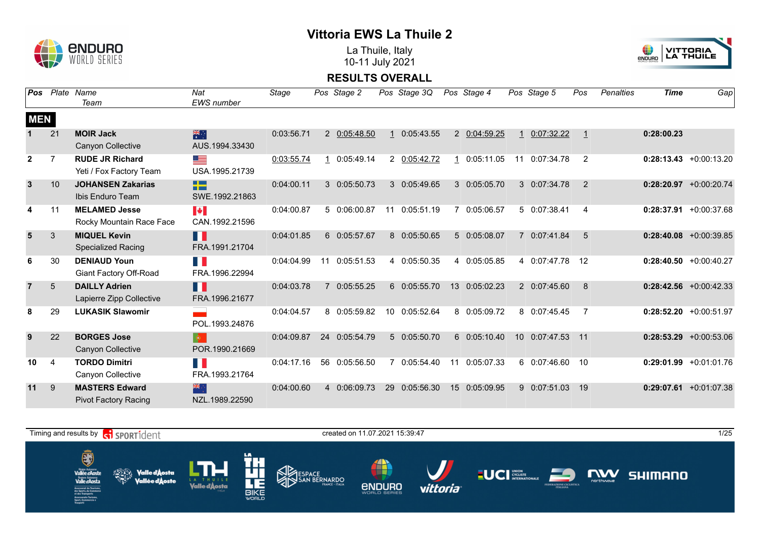

La Thuile, Italy 10-11 July 2021



| Pos            |                | Plate Name<br>Team                                   | Nat<br><b>EWS</b> number                    | <b>Stage</b> |    | Pos Stage 2   |    | Pos Stage 3Q  |                 | Pos Stage 4   |                 | Pos Stage 5     | Pos | Penalties | <b>Time</b> | Gap                       |
|----------------|----------------|------------------------------------------------------|---------------------------------------------|--------------|----|---------------|----|---------------|-----------------|---------------|-----------------|-----------------|-----|-----------|-------------|---------------------------|
| <b>MEN</b>     |                |                                                      |                                             |              |    |               |    |               |                 |               |                 |                 |     |           |             |                           |
|                | 21             | <b>MOIR Jack</b><br>Canyon Collective                | 米<br>AUS.1994.33430                         | 0:03:56.71   |    | 2 0:05:48.50  |    | 1 0:05:43.55  |                 | 2 0:04:59.25  | $\mathbf{1}$    | 0:07:32.22      |     |           | 0:28:00.23  |                           |
| $\overline{2}$ | $\overline{7}$ | <b>RUDE JR Richard</b><br>Yeti / Fox Factory Team    | <u>est</u><br>USA.1995.21739                | 0:03:55.74   |    | 0:05:49.14    |    | 2 0:05:42.72  | 1               | 0:05:11.05    | 11              | 0:07:34.78      | 2   |           |             | $0:28:13.43 + 0:00:13.20$ |
| $\overline{3}$ | 10             | <b>JOHANSEN Zakarias</b><br>Ibis Enduro Team         | 22<br>SWE.1992.21863                        | 0:04:00.11   |    | 3 0:05:50.73  |    | 3 0:05:49.65  |                 | 3 0:05:05.70  |                 | 3 0:07:34.78    | 2   |           |             | $0:28:20.97$ +0:00:20.74  |
| 4              | 11             | <b>MELAMED Jesse</b><br>Rocky Mountain Race Face     | $\blacktriangleright$<br>CAN.1992.21596     | 0:04:00.87   |    | 5 0:06:00.87  |    | 11 0:05:51.19 | 7               | 0:05:06.57    |                 | 5 0:07:38.41    | 4   |           |             | $0:28:37.91$ +0:00:37.68  |
| 5              | 3              | <b>MIQUEL Kevin</b><br><b>Specialized Racing</b>     | H<br>FRA.1991.21704                         | 0:04:01.85   |    | 6 0:05:57.67  |    | 8 0:05:50.65  |                 | 5 0:05:08.07  | $\overline{7}$  | 0:07:41.84      | 5   |           |             | $0:28:40.08$ +0:00:39.85  |
|                | 30             | <b>DENIAUD Youn</b><br>Giant Factory Off-Road        | n K<br>FRA.1996.22994                       | 0:04:04.99   | 11 | 0:05:51.53    |    | 4 0:05:50.35  |                 | 4 0:05:05.85  |                 | 4 0:07:47.78 12 |     |           |             | $0:28:40.50 + 0:00:40.27$ |
| $\overline{7}$ | $\overline{5}$ | <b>DAILLY Adrien</b><br>Lapierre Zipp Collective     | H<br>FRA.1996.21677                         | 0:04:03.78   |    | 0:05:55.25    |    | 6 0:05:55.70  | 13 <sup>1</sup> | 0:05:02.23    |                 | 2 0:07:45.60    | 8   |           |             | $0:28:42.56$ +0:00:42.33  |
| 8              | 29             | <b>LUKASIK Slawomir</b>                              | POL.1993.24876                              | 0:04:04.57   |    | 8 0:05:59.82  |    | 10 0:05:52.64 |                 | 8 0:05:09.72  |                 | 8 0:07:45.45    | 7   |           |             | $0:28:52.20$ +0:00:51.97  |
| 9              | 22             | <b>BORGES Jose</b><br>Canyon Collective              | $\langle \bullet \rangle$<br>POR.1990.21669 | 0:04:09.87   |    | 24 0:05:54.79 |    | 5 0:05:50.70  |                 | 6 0:05:10.40  | 10 <sup>1</sup> | 0:07:47.53 11   |     |           |             | $0:28:53.29$ +0:00:53.06  |
| 10             | 4              | <b>TORDO Dimitri</b><br>Canyon Collective            | FI N<br>FRA.1993.21764                      | 0:04:17.16   |    | 56 0:05:56.50 |    | 7 0:05:54.40  | 11              | 0:05:07.33    |                 | 6 0:07:46.60    | -10 |           |             | $0:29:01.99$ +0:01:01.76  |
| 11             | 9              | <b>MASTERS Edward</b><br><b>Pivot Factory Racing</b> | 米心<br>NZL.1989.22590                        | 0:04:00.60   |    | 4 0:06:09.73  | 29 | 0:05:56.30    |                 | 15 0:05:09.95 |                 | 9 0:07:51.03    | -19 |           |             | $0:29:07.61$ +0:01:07.38  |

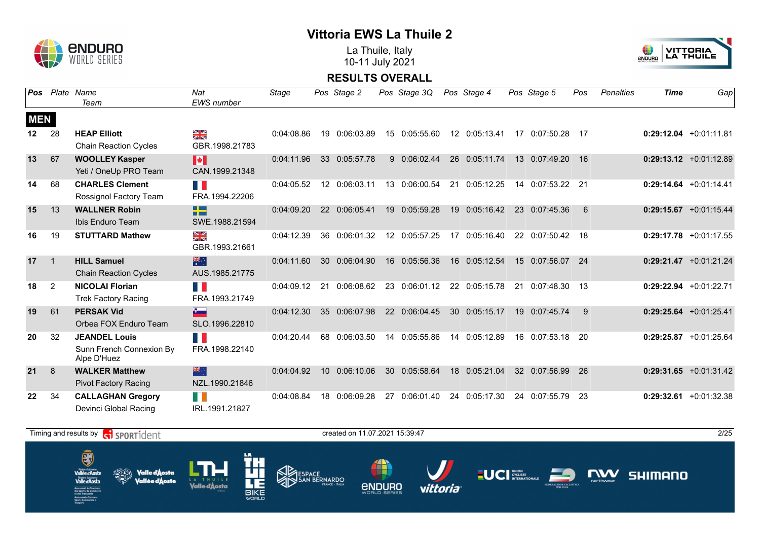

La Thuile, Italy 10-11 July 2021



| <b>Pos</b> |                | Plate Name<br>Team                                              | <b>Nat</b><br><b>EWS</b> number                    | Stage      | Pos Stage 2   |           | Pos Stage 3Q  |    | Pos Stage 4   |    | Pos Stage 5      | Pos | <b>Penalties</b> | <b>Time</b> | Gap                       |
|------------|----------------|-----------------------------------------------------------------|----------------------------------------------------|------------|---------------|-----------|---------------|----|---------------|----|------------------|-----|------------------|-------------|---------------------------|
| <b>MEN</b> |                |                                                                 |                                                    |            |               |           |               |    |               |    |                  |     |                  |             |                           |
| $12 \,$    | 28             | <b>HEAP Elliott</b><br><b>Chain Reaction Cycles</b>             | ¥≼<br>GBR.1998.21783                               | 0:04:08.86 | 19 0:06:03.89 |           | 15 0:05:55.60 |    | 12 0:05:13.41 |    | 17 0:07:50.28 17 |     |                  |             | $0:29:12.04$ +0:01:11.81  |
| 13         | 67             | <b>WOOLLEY Kasper</b><br>Yeti / OneUp PRO Team                  | $\blacktriangleright$<br>CAN.1999.21348            | 0:04:11.96 | 33 0:05:57.78 |           | 9 0:06:02.44  |    | 26 0:05:11.74 |    | 13 0:07:49.20    | 16  |                  |             | $0:29:13.12$ +0:01:12.89  |
| 14         | 68             | <b>CHARLES Clement</b><br>Rossignol Factory Team                | T.<br>FRA.1994.22206                               | 0:04:05.52 | 12 0:06:03.11 |           | 13 0:06:00.54 | 21 | 0:05:12.25    |    | 14 0:07:53.22 21 |     |                  |             | $0:29:14.64$ +0:01:14.41  |
| 15         | 13             | <b>WALLNER Robin</b><br>Ibis Enduro Team                        | <u> Die Best</u><br><b>START</b><br>SWE.1988.21594 | 0:04:09.20 | 22 0:06:05.41 |           | 19 0:05:59.28 |    | 19 0:05:16.42 |    | 23 0:07:45.36    | 6   |                  |             | $0:29:15.67$ +0:01:15.44  |
| 16         | 19             | <b>STUTTARD Mathew</b>                                          | ¥≼<br>GBR.1993.21661                               | 0:04:12.39 | 36 0:06:01.32 |           | 12 0:05:57.25 |    | 17 0:05:16.40 |    | 22 0:07:50.42 18 |     |                  |             | $0:29:17.78$ +0:01:17.55  |
| 17         | $\overline{1}$ | <b>HILL Samuel</b><br><b>Chain Reaction Cycles</b>              | 米<br>AUS.1985.21775                                | 0:04:11.60 | 30 0:06:04.90 |           | 16 0:05:56.36 |    | 16 0:05:12.54 |    | 15 0:07:56.07 24 |     |                  |             | $0:29:21.47$ +0:01:21.24  |
| 18         | 2              | <b>NICOLAI Florian</b><br><b>Trek Factory Racing</b>            | H.<br>FRA.1993.21749                               | 0:04:09.12 | 21 0:06:08.62 |           | 23 0:06:01.12 |    | 22 0:05:15.78 |    | 21 0:07:48.30 13 |     |                  |             | $0:29:22.94$ +0:01:22.71  |
| 19         | 61             | <b>PERSAK Vid</b><br>Orbea FOX Enduro Team                      | A.<br>SLO.1996.22810                               | 0:04:12.30 | 35 0:06:07.98 |           | 22 0:06:04.45 |    | 30 0:05:15.17 |    | 19 0:07:45.74    | 9   |                  |             | $0:29:25.64$ +0:01:25.41  |
| 20         | 32             | <b>JEANDEL Louis</b><br>Sunn French Connexion By<br>Alpe D'Huez | H<br>FRA.1998.22140                                | 0:04:20.44 | 68 0:06:03.50 |           | 14 0:05:55.86 |    | 14 0:05:12.89 |    | 16 0:07:53.18 20 |     |                  |             | $0:29:25.87$ +0:01:25.64  |
| 21         | 8              | <b>WALKER Matthew</b><br><b>Pivot Factory Racing</b>            | 米心<br>NZL.1990.21846                               | 0:04:04.92 | 10 0:06:10.06 | <b>30</b> | 0:05:58.64    |    | 18 0:05:21.04 |    | 32 0:07:56.99    | 26  |                  |             | $0:29:31.65 + 0:01:31.42$ |
| 22         | 34             | <b>CALLAGHAN Gregory</b><br>Devinci Global Racing               | H<br>IRL.1991.21827                                | 0:04:08.84 | 18 0:06:09.28 | 27        | 0:06:01.40    | 24 | 0:05:17.30    | 24 | 0:07:55.79       | 23  |                  |             | $0:29:32.61$ +0:01:32.38  |

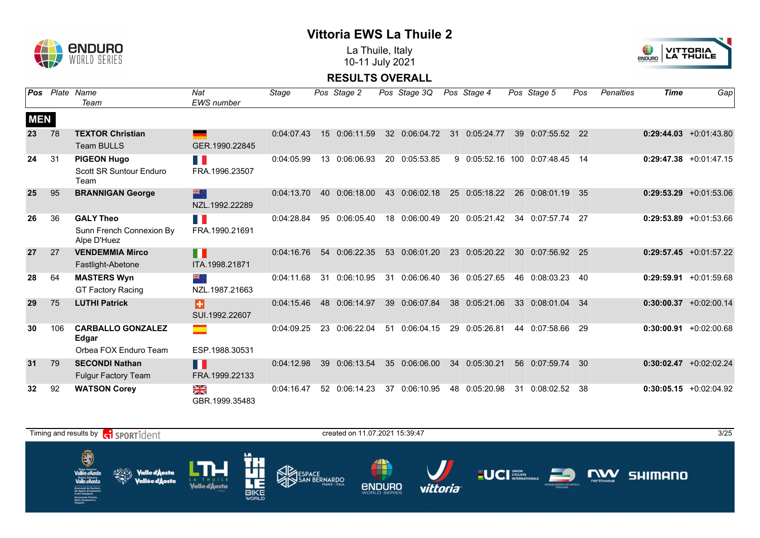

La Thuile, Italy 10-11 July 2021



| Pos        |     | Plate Name                                                   | <b>Nat</b>              | Stage      |                  | Pos Stage 2   |    | Pos Stage 3Q  |    | Pos Stage 4    |                 | Pos Stage 5   | Pos | <b>Penalties</b> | <b>Time</b> | Gap                       |
|------------|-----|--------------------------------------------------------------|-------------------------|------------|------------------|---------------|----|---------------|----|----------------|-----------------|---------------|-----|------------------|-------------|---------------------------|
|            |     | Team                                                         | <b>EWS</b> number       |            |                  |               |    |               |    |                |                 |               |     |                  |             |                           |
| <b>MEN</b> |     |                                                              |                         |            |                  |               |    |               |    |                |                 |               |     |                  |             |                           |
| 23         | 78  | <b>TEXTOR Christian</b>                                      | ٠                       | 0:04:07.43 | 15 <sup>15</sup> | 0:06:11.59    |    | 32 0:06:04.72 | 31 | 0:05:24.77     | 39              | 0:07:55.52    | 22  |                  |             | $0:29:44.03 + 0:01:43.80$ |
|            |     | <b>Team BULLS</b>                                            | GER.1990.22845          |            |                  |               |    |               |    |                |                 |               |     |                  |             |                           |
| 24         | 31  | <b>PIGEON Hugo</b><br><b>Scott SR Suntour Enduro</b><br>Team | T.<br>FRA.1996.23507    | 0:04:05.99 | 13               | 0:06:06.93    |    | 20 0:05:53.85 | 9  | 0:05:52.16 100 |                 | 0:07:48.45    | 14  |                  |             | $0:29:47.38$ +0:01:47.15  |
| 25         | 95  | <b>BRANNIGAN George</b>                                      | 米心<br>NZL.1992.22289    | 0:04:13.70 | 40               | 0:06:18.00    | 43 | 0:06:02.18    | 25 | 0:05:18.22     | 26              | 0:08:01.19    | 35  |                  |             | $0:29:53.29$ +0:01:53.06  |
| 26         | 36  | <b>GALY Theo</b><br>Sunn French Connexion By<br>Alpe D'Huez  | H<br>FRA.1990.21691     | 0:04:28.84 | 95               | 0:06:05.40    |    | 18 0:06:00.49 | 20 | 0:05:21.42     | 34              | 0:07:57.74    | 27  |                  |             | $0:29:53.89$ +0:01:53.66  |
| 27         | 27  | <b>VENDEMMIA Mirco</b><br>Fastlight-Abetone                  | П<br>ITA.1998.21871     | 0:04:16.76 | 54               | 0:06:22.35    | 53 | 0:06:01.20    | 23 | 0:05:20.22     | 30 <sup>°</sup> | 0:07:56.92    | 25  |                  |             | $0:29:57.45$ +0:01:57.22  |
| 28         | 64  | <b>MASTERS Wyn</b><br><b>GT Factory Racing</b>               | ैं और<br>NZL.1987.21663 | 0:04:11.68 | 31               | 0:06:10.95    |    | 31 0:06:06.40 |    | 36 0:05:27.65  |                 | 46 0:08:03.23 | 40  |                  |             | $0:29:59.91 + 0:01:59.68$ |
| 29         | 75  | <b>LUTHI Patrick</b>                                         | ÷<br>SUI.1992.22607     | 0:04:15.46 | 48               | 0:06:14.97    | 39 | 0:06:07.84    | 38 | 0:05:21.06     | 33              | 0:08:01.04    | 34  |                  |             | $0:30:00.37$ +0:02:00.14  |
| 30         | 106 | <b>CARBALLO GONZALEZ</b><br>Edgar                            | m.                      | 0:04:09.25 | 23               | 0:06:22.04    |    | 51 0:06:04.15 |    | 29 0:05:26.81  |                 | 44 0:07:58.66 | 29  |                  |             | $0:30:00.91 + 0:02:00.68$ |
|            |     | Orbea FOX Enduro Team                                        | ESP.1988.30531          |            |                  |               |    |               |    |                |                 |               |     |                  |             |                           |
| 31         | 79  | <b>SECONDI Nathan</b><br><b>Fulgur Factory Team</b>          | H<br>FRA.1999.22133     | 0:04:12.98 | 39               | 0:06:13.54    | 35 | 0:06:06.00    | 34 | 0:05:30.21     |                 | 56 0:07:59.74 | 30  |                  |             | $0:30:02.47$ +0:02:02.24  |
| 32         | 92  | <b>WATSON Corey</b>                                          | ≫≪<br>GBR.1999.35483    | 0:04:16.47 |                  | 52 0:06:14.23 | 37 | 0:06:10.95    | 48 | 0:05:20.98     | 31              | 0:08:02.52    | 38  |                  |             | $0:30:05.15 + 0:02:04.92$ |

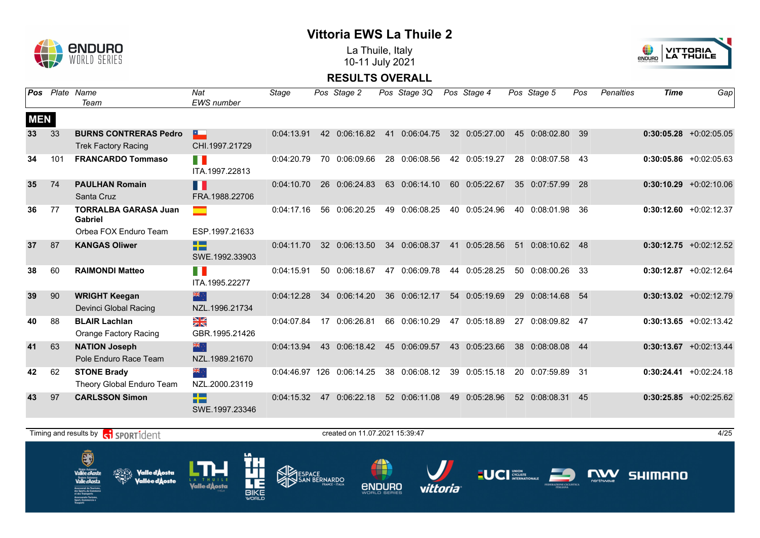

La Thuile, Italy 10-11 July 2021



| <b>Pos</b>      |     | Plate Name<br>Team                                         | Nat<br><b>EWS</b> number                                       | Stage      |    | Pos Stage 2               | Pos Stage 3Q  | Pos Stage 4   |    | Pos Stage 5      | Pos | <b>Penalties</b> | <b>Time</b> | Gap                       |
|-----------------|-----|------------------------------------------------------------|----------------------------------------------------------------|------------|----|---------------------------|---------------|---------------|----|------------------|-----|------------------|-------------|---------------------------|
| <b>MEN</b>      |     |                                                            |                                                                |            |    |                           |               |               |    |                  |     |                  |             |                           |
| 33 <sup>2</sup> | 33  | <b>BURNS CONTRERAS Pedro</b><br><b>Trek Factory Racing</b> | $\sim$<br>CHI.1997.21729                                       | 0:04:13.91 |    | 42 0:06:16.82             | 41 0:06:04.75 | 32 0:05:27.00 |    | 45 0:08:02.80 39 |     |                  |             | $0:30:05.28$ +0:02:05.05  |
| 34              | 101 | <b>FRANCARDO Tommaso</b>                                   | FI I<br>ITA.1997.22813                                         | 0:04:20.79 |    | 70 0:06:09.66             | 28 0:06:08.56 | 42 0:05:19.27 |    | 28 0:08:07.58    | 43  |                  |             | $0:30:05.86$ +0:02:05.63  |
| 35              | 74  | <b>PAULHAN Romain</b><br>Santa Cruz                        | H<br>FRA.1988.22706                                            | 0:04:10.70 |    | 26 0:06:24.83             | 63 0:06:14.10 | 60 0:05:22.67 |    | 35 0:07:57.99    | 28  |                  |             | $0:30:10.29$ +0:02:10.06  |
| 36              | 77  | <b>TORRALBA GARASA Juan</b><br><b>Gabriel</b>              |                                                                | 0:04:17.16 |    | 56 0:06:20.25             | 49 0:06:08.25 | 40 0:05:24.96 | 40 | 0:08:01.98       | 36  |                  |             | $0:30:12.60 + 0:02:12.37$ |
|                 |     | Orbea FOX Enduro Team                                      | ESP.1997.21633                                                 |            |    |                           |               |               |    |                  |     |                  |             |                           |
| 37              | 87  | <b>KANGAS Oliwer</b>                                       | $\Box$<br>n m<br>SWE.1992.33903                                | 0:04:11.70 |    | 32 0:06:13.50             | 34 0:06:08.37 | 41 0:05:28.56 |    | 51 0:08:10.62 48 |     |                  |             | $0:30:12.75 + 0:02:12.52$ |
| 38              | 60  | <b>RAIMONDI Matteo</b>                                     | FI I<br>ITA.1995.22277                                         | 0:04:15.91 |    | 50 0:06:18.67             | 47 0:06:09.78 | 44 0:05:28.25 |    | 50 0:08:00.26 33 |     |                  |             | $0:30:12.87$ +0:02:12.64  |
| 39              | 90  | <b>WRIGHT Keegan</b><br>Devinci Global Racing              | 米心<br>NZL.1996.21734                                           | 0:04:12.28 |    | 34 0:06:14.20             | 36 0:06:12.17 | 54 0:05:19.69 |    | 29 0:08:14.68    | 54  |                  |             | $0:30:13.02 +0:02:12.79$  |
| 40              | 88  | <b>BLAIR Lachlan</b><br>Orange Factory Racing              | NK<br>ZK<br>GBR.1995.21426                                     | 0:04:07.84 |    | 17 0:06:26.81             | 66 0:06:10.29 | 47 0:05:18.89 | 27 | 0:08:09.82       | 47  |                  |             | $0:30:13.65 + 0:02:13.42$ |
| 41              | 63  | <b>NATION Joseph</b><br>Pole Enduro Race Team              | 米心<br>NZL.1989.21670                                           | 0:04:13.94 |    | 43 0:06:18.42             | 45 0:06:09.57 | 43 0:05:23.66 |    | 38 0:08:08.08    | 44  |                  |             | $0:30:13.67$ +0:02:13.44  |
| 42              | 62  | <b>STONE Brady</b><br>Theory Global Enduro Team            | 张小<br>NZL.2000.23119                                           |            |    | 0:04:46.97 126 0:06:14.25 | 38 0:06:08.12 | 39 0:05:15.18 | 20 | 0:07:59.89 31    |     |                  |             | $0:30:24.41 + 0:02:24.18$ |
| 43              | 97  | <b>CARLSSON Simon</b>                                      | <b>The Contract State</b><br><b>PERSONAL</b><br>SWE.1997.23346 | 0:04:15.32 | 47 | 0:06:22.18                | 52 0:06:11.08 | 49 0:05:28.96 |    | 52 0:08:08.31    | 45  |                  |             | $0:30:25.85 + 0:02:25.62$ |

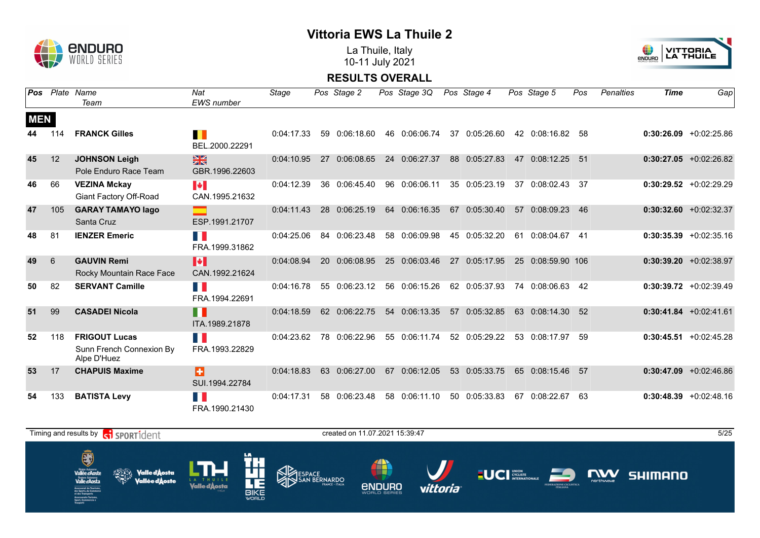

La Thuile, Italy 10-11 July 2021



| <b>Pos</b> |     | Plate Name                                                      | Nat                                     | Stage      |    | Pos Stage 2   | Pos Stage 3Q  |    | Pos Stage 4   | Pos Stage 5       | Pos | <b>Penalties</b> | <b>Time</b> | Gap                       |
|------------|-----|-----------------------------------------------------------------|-----------------------------------------|------------|----|---------------|---------------|----|---------------|-------------------|-----|------------------|-------------|---------------------------|
|            |     | Team                                                            | <b>EWS</b> number                       |            |    |               |               |    |               |                   |     |                  |             |                           |
| <b>MEN</b> |     |                                                                 |                                         |            |    |               |               |    |               |                   |     |                  |             |                           |
| 44         | 114 | <b>FRANCK Gilles</b>                                            | ш<br>BEL.2000.22291                     | 0:04:17.33 | 59 | 0:06:18.60    | 46 0:06:06.74 | 37 | 0:05:26.60    | 42 0:08:16.82     | -58 |                  |             | $0:30:26.09$ +0:02:25.86  |
| 45         | 12  | <b>JOHNSON Leigh</b><br>Pole Enduro Race Team                   | $\frac{N}{N}$<br>GBR.1996.22603         | 0:04:10.95 |    | 27 0:06:08.65 | 24 0:06:27.37 |    | 88 0:05:27.83 | 47 0:08:12.25 51  |     |                  |             | $0:30:27.05$ +0:02:26.82  |
| 46         | 66  | <b>VEZINA Mckay</b><br>Giant Factory Off-Road                   | $\blacktriangleright$<br>CAN.1995.21632 | 0:04:12.39 |    | 36 0:06:45.40 | 96 0:06:06.11 |    | 35 0:05:23.19 | 37 0:08:02.43 37  |     |                  |             | $0:30:29.52 +0:02:29.29$  |
| 47         | 105 | <b>GARAY TAMAYO lago</b><br>Santa Cruz                          | ESP.1991.21707                          | 0:04:11.43 |    | 28 0:06:25.19 | 64 0:06:16.35 | 67 | 0:05:30.40    | 57 0:08:09.23     | 46  |                  |             | $0:30:32.60 +0:02:32.37$  |
| 48         | 81  | <b>IENZER Emeric</b>                                            | H<br>FRA.1999.31862                     | 0:04:25.06 |    | 84 0:06:23.48 | 58 0:06:09.98 |    | 45 0:05:32.20 | 61 0:08:04.67 41  |     |                  |             | $0:30:35.39 + 0:02:35.16$ |
| 49         | 6   | <b>GAUVIN Remi</b><br>Rocky Mountain Race Face                  | M<br>CAN.1992.21624                     | 0:04:08.94 |    | 20 0:06:08.95 | 25 0:06:03.46 |    | 27 0:05:17.95 | 25 0:08:59.90 106 |     |                  |             | $0:30:39.20 +0:02:38.97$  |
| 50         | 82  | <b>SERVANT Camille</b>                                          | H I<br>FRA.1994.22691                   | 0:04:16.78 |    | 55 0:06:23.12 | 56 0:06:15.26 |    | 62 0:05:37.93 | 74 0:08:06.63     | 42  |                  |             | $0:30:39.72$ +0:02:39.49  |
| 51         | 99  | <b>CASADEI Nicola</b>                                           | H<br>ITA.1989.21878                     | 0:04:18.59 |    | 62 0:06:22.75 | 54 0:06:13.35 |    | 57 0:05:32.85 | 63 0:08:14.30     | -52 |                  |             | $0:30:41.84 + 0:02:41.61$ |
| 52         | 118 | <b>FRIGOUT Lucas</b><br>Sunn French Connexion By<br>Alpe D'Huez | M.<br>FRA.1993.22829                    | 0:04:23.62 |    | 78 0:06:22.96 | 55 0:06:11.74 |    | 52 0:05:29.22 | 53 0:08:17.97     | 59  |                  |             | $0:30:45.51$ +0:02:45.28  |
| 53         | 17  | <b>CHAPUIS Maxime</b>                                           | Ы<br>SUI.1994.22784                     | 0:04:18.83 |    | 63 0:06:27.00 | 67 0:06:12.05 | 53 | 0:05:33.75    | 65 0:08:15.46     | 57  |                  |             | $0:30:47.09$ +0:02:46.86  |
| 54         | 133 | <b>BATISTA Levy</b>                                             | Ш<br>FRA.1990.21430                     | 0:04:17.31 | 58 | 0:06:23.48    | 58 0:06:11.10 |    | 50 0:05:33.83 | 67 0:08:22.67     | 63  |                  |             | $0:30:48.39 + 0:02:48.16$ |

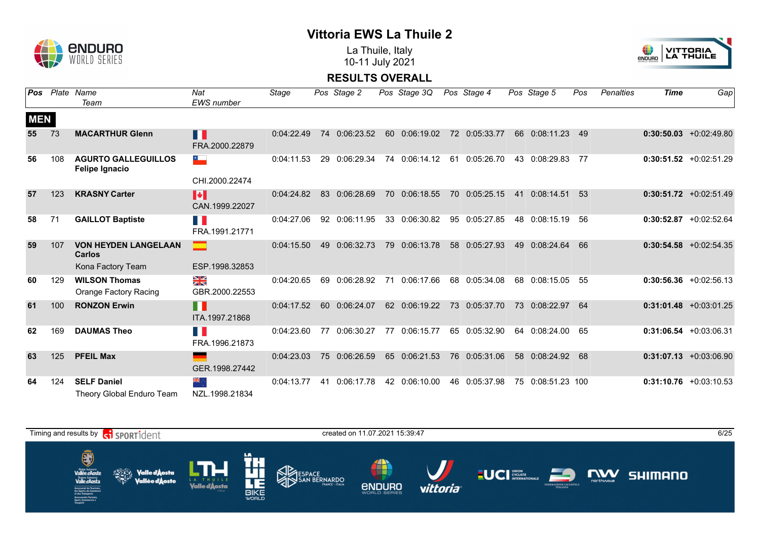

La Thuile, Italy 10-11 July 2021



| Pos        |     | Plate Name<br>Team                                                 | Nat<br>EWS number                       | Stage      |    | Pos Stage 2   |    | Pos Stage 3Q  | Pos Stage 4   |    | Pos Stage 5       | Pos | <b>Penalties</b> | <b>Time</b> | Gap                       |
|------------|-----|--------------------------------------------------------------------|-----------------------------------------|------------|----|---------------|----|---------------|---------------|----|-------------------|-----|------------------|-------------|---------------------------|
| <b>MEN</b> |     |                                                                    |                                         |            |    |               |    |               |               |    |                   |     |                  |             |                           |
| 55         | 73  | <b>MACARTHUR Glenn</b>                                             | H<br>FRA.2000.22879                     | 0:04:22.49 |    | 74 0:06:23.52 |    | 60 0:06:19.02 | 72 0:05:33.77 |    | 66 0:08:11.23     | 49  |                  |             | $0:30:50.03 + 0:02:49.80$ |
| 56         | 108 | <b>AGURTO GALLEGUILLOS</b><br><b>Felipe Ignacio</b>                | $\sim$<br>CHI.2000.22474                | 0:04:11.53 |    | 29 0:06:29.34 |    | 74 0:06:14.12 | 61 0:05:26.70 |    | 43 0:08:29.83     | 77  |                  |             | $0:30:51.52 +0:02:51.29$  |
| 57         | 123 | <b>KRASNY Carter</b>                                               | $\blacktriangleright$<br>CAN.1999.22027 | 0:04:24.82 |    | 83 0:06:28.69 |    | 70 0:06:18.55 | 70 0:05:25.15 | 41 | 0:08:14.51        | 53  |                  |             | $0:30:51.72 +0:02:51.49$  |
| 58         | 71  | <b>GAILLOT Baptiste</b>                                            | <b>TIME</b><br>FRA.1991.21771           | 0:04:27.06 |    | 92 0:06:11.95 |    | 33 0:06:30.82 | 95 0:05:27.85 |    | 48 0:08:15.19     | -56 |                  |             | $0:30:52.87$ +0:02:52.64  |
| 59         | 107 | <b>VON HEYDEN LANGELAAN</b><br><b>Carlos</b>                       | ESP.1998.32853                          | 0:04:15.50 |    | 49 0:06:32.73 |    | 79 0:06:13.78 | 58 0:05:27.93 | 49 | 0:08:24.64        | 66  |                  |             | $0:30:54.58$ +0:02:54.35  |
| 60         | 129 | Kona Factory Team<br><b>WILSON Thomas</b><br>Orange Factory Racing | ≫<br>X<br>GBR.2000.22553                | 0:04:20.65 |    | 69 0:06:28.92 | 71 | 0:06:17.66    | 68 0:05:34.08 |    | 68 0:08:15.05     | 55  |                  |             | $0:30:56.36 + 0:02:56.13$ |
| 61         | 100 | <b>RONZON Erwin</b>                                                | $\blacksquare$<br>ITA.1997.21868        | 0:04:17.52 |    | 60 0:06:24.07 |    | 62 0:06:19.22 | 73 0:05:37.70 |    | 73 0:08:22.97     | 64  |                  |             | $0:31:01.48$ +0:03:01.25  |
| 62         | 169 | <b>DAUMAS Theo</b>                                                 | E.<br>FRA.1996.21873                    | 0:04:23.60 | 77 | 0:06:30.27    |    | 77 0:06:15.77 | 65 0:05:32.90 |    | 64 0:08:24.00     | 65  |                  |             | $0:31:06.54$ +0:03:06.31  |
| 63         | 125 | <b>PFEIL Max</b>                                                   | ٠<br>GER.1998.27442                     | 0:04:23.03 |    | 75 0:06:26.59 |    | 65 0:06:21.53 | 76 0:05:31.06 |    | 58 0:08:24.92     | 68  |                  |             | $0:31:07.13 + 0:03:06.90$ |
| 64         | 124 | <b>SELF Daniel</b><br>Theory Global Enduro Team                    | ्र क्रें≼<br>NZL.1998.21834             | 0:04:13.77 |    | 41 0:06:17.78 |    | 42 0:06:10.00 | 46 0:05:37.98 |    | 75 0:08:51.23 100 |     |                  |             | $0:31:10.76$ +0:03:10.53  |

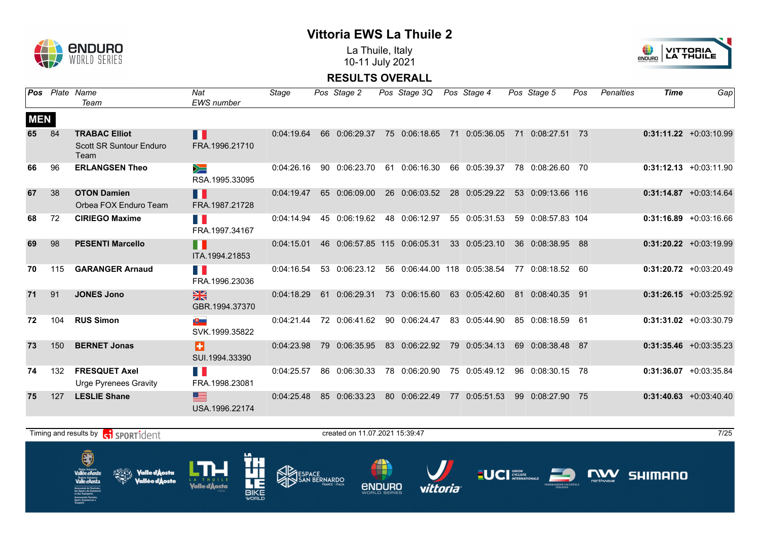

La Thuile, Italy 10-11 July 2021



|            |     | Pos Plate Name<br>Team                        | Nat<br><b>EWS</b> number         | Stage      | Pos Stage 2                  | Pos Stage 3Q Pos Stage 4 |                                 | Pos Stage 5       | Pos  | Penalties | <b>Time</b> | Gap                       |
|------------|-----|-----------------------------------------------|----------------------------------|------------|------------------------------|--------------------------|---------------------------------|-------------------|------|-----------|-------------|---------------------------|
| <b>MEN</b> |     |                                               |                                  |            |                              |                          |                                 |                   |      |           |             |                           |
| 65         | 84  | <b>TRABAC Elliot</b>                          | П                                | 0:04:19.64 | 66 0:06:29.37                | 75 0:06:18.65            | 71 0:05:36.05                   | 71 0:08:27.51 73  |      |           |             | $0:31:11.22 +0:03:10.99$  |
|            |     | <b>Scott SR Suntour Enduro</b><br>Team        | FRA.1996.21710                   |            |                              |                          |                                 |                   |      |           |             |                           |
| 66         | 96  | <b>ERLANGSEN Theo</b>                         | $\geqslant$<br>RSA.1995.33095    | 0:04:26.16 | 90 0:06:23.70                | 61 0:06:16.30            | 66 0:05:39.37                   | 78 0:08:26.60 70  |      |           |             | $0:31:12.13 + 0:03:11.90$ |
| 67         | 38  | <b>OTON Damien</b><br>Orbea FOX Enduro Team   | H<br>FRA.1987.21728              | 0:04:19.47 | 65 0:06:09.00                | 26 0:06:03.52            | 28 0:05:29.22                   | 53 0:09:13.66 116 |      |           |             | $0:31:14.87$ +0:03:14.64  |
|            |     |                                               |                                  |            |                              |                          |                                 |                   |      |           |             |                           |
| 68         | 72  | <b>CIRIEGO Maxime</b>                         | n p<br>FRA.1997.34167            | 0:04:14.94 | 45 0:06:19.62                | 48 0:06:12.97            | 55 0:05:31.53                   | 59 0:08:57.83 104 |      |           |             | $0:31:16.89$ +0:03:16.66  |
| 69         | 98  | <b>PESENTI Marcello</b>                       | $\blacksquare$<br>ITA.1994.21853 | 0:04:15.01 | 46 0:06:57.85 115 0:06:05.31 |                          | 33 0:05:23.10                   | 36 0:08:38.95 88  |      |           |             | $0:31:20.22 +0:03:19.99$  |
| 70         | 115 | <b>GARANGER Arnaud</b>                        | H.<br>FRA.1996.23036             | 0:04:16.54 | 53 0:06:23.12                |                          | 56  0:06:44.00  118  0:05:38.54 | 77 0:08:18.52 60  |      |           |             | $0:31:20.72$ +0:03:20.49  |
| 71         | 91  | <b>JONES Jono</b>                             | $\frac{N}{N}$<br>GBR.1994.37370  | 0:04:18.29 | 61 0:06:29.31                | 73 0:06:15.60            | 63 0:05:42.60                   | 81 0:08:40.35 91  |      |           |             | $0:31:26.15 + 0:03:25.92$ |
| 72         | 104 | <b>RUS Simon</b>                              | 地上<br>SVK.1999.35822             |            | 0:04:21.44 72 0:06:41.62     | 90 0:06:24.47            | 83 0:05:44.90                   | 85 0:08:18.59 61  |      |           |             | $0:31:31.02 +0:03:30.79$  |
| 73         | 150 | <b>BERNET Jonas</b>                           | H<br>SUI.1994.33390              | 0:04:23.98 | 79 0:06:35.95                | 83 0:06:22.92            | 79 0:05:34.13                   | 69 0:08:38.48 87  |      |           |             | $0:31:35.46 + 0:03:35.23$ |
| 74         | 132 | <b>FRESQUET Axel</b><br>Urge Pyrenees Gravity | T.<br>FRA.1998.23081             | 0:04:25.57 | 86 0:06:30.33                | 78 0:06:20.90            | 75 0:05:49.12                   | 96 0:08:30.15 78  |      |           |             | $0:31:36.07$ +0:03:35.84  |
| 75         | 127 | <b>LESLIE Shane</b>                           | 트<br>USA.1996.22174              | 0:04:25.48 | 85 0:06:33.23                | 80 0:06:22.49            | 77 0:05:51.53                   | 99 0:08:27.90     | - 75 |           |             | $0:31:40.63 + 0:03:40.40$ |

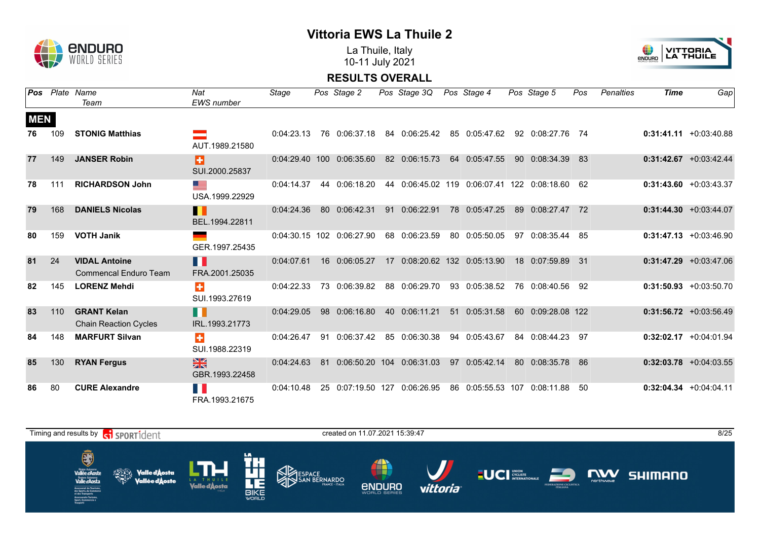

La Thuile, Italy 10-11 July 2021



| Pos        |     | Plate Name<br>Team                                   | Nat<br><b>EWS</b> number      | Stage      |    | Pos Stage 2                  | Pos Stage 3Q  |    | Pos Stage 4                                 |    | Pos Stage 5       | Pos | Penalties | Time | Gap                       |
|------------|-----|------------------------------------------------------|-------------------------------|------------|----|------------------------------|---------------|----|---------------------------------------------|----|-------------------|-----|-----------|------|---------------------------|
| <b>MEN</b> |     |                                                      |                               |            |    |                              |               |    |                                             |    |                   |     |           |      |                           |
| 76         | 109 | <b>STONIG Matthias</b>                               | AUT.1989.21580                | 0:04:23.13 |    | 76 0:06:37.18                | 84 0:06:25.42 |    | 85 0:05:47.62                               |    | 92 0:08:27.76 74  |     |           |      | $0:31:41.11 + 0:03:40.88$ |
| 77         | 149 | <b>JANSER Robin</b>                                  | ÷<br>SUI.2000.25837           |            |    | 0:04:29.40 100 0:06:35.60    | 82 0:06:15.73 |    | 64 0:05:47.55                               |    | 90 0:08:34.39     | 83  |           |      | $0:31:42.67$ +0:03:42.44  |
| 78         | 111 | <b>RICHARDSON John</b>                               | <u>sta</u><br>USA.1999.22929  | 0:04:14.37 |    | 44 0:06:18.20                |               |    | 44 0:06:45.02 119 0:06:07.41 122 0:08:18.60 |    |                   | 62  |           |      | $0:31:43.60 + 0:03:43.37$ |
| 79         | 168 | <b>DANIELS Nicolas</b>                               | H<br>BEL.1994.22811           | 0:04:24.36 |    | 80 0:06:42.31                | 91 0:06:22.91 |    | 78 0:05:47.25                               |    | 89 0:08:27.47     | 72  |           |      | $0:31:44.30 + 0:03:44.07$ |
| 80         | 159 | <b>VOTH Janik</b>                                    | ٠<br>GER.1997.25435           |            |    | 0:04:30.15 102 0:06:27.90    | 68 0:06:23.59 |    | 80 0:05:50.05                               | 97 | 0:08:35.44        | -85 |           |      | $0:31:47.13 + 0:03:46.90$ |
| 81         | 24  | <b>VIDAL Antoine</b><br><b>Commencal Enduro Team</b> | F.<br>FRA.2001.25035          | 0:04:07.61 |    | 16 0:06:05.27                |               |    | 17 0:08:20.62 132 0:05:13.90                |    | 18 0:07:59.89 31  |     |           |      | $0:31:47.29$ +0:03:47.06  |
| 82         | 145 | <b>LORENZ Mehdi</b>                                  | ÷<br>SUI.1993.27619           | 0:04:22.33 |    | 73 0:06:39.82                | 88 0:06:29.70 |    | 93 0:05:38.52                               |    | 76 0:08:40.56     | 92  |           |      | $0:31:50.93 + 0:03:50.70$ |
| 83         | 110 | <b>GRANT Kelan</b><br><b>Chain Reaction Cycles</b>   | H.<br>IRL.1993.21773          | 0:04:29.05 |    | 98 0:06:16.80                | 40 0:06:11.21 | 51 | 0:05:31.58                                  |    | 60 0:09:28.08 122 |     |           |      | $0:31:56.72$ +0:03:56.49  |
| 84         | 148 | <b>MARFURT Silvan</b>                                | ÷<br>SUI.1988.22319           | 0:04:26.47 | 91 | 0:06:37.42                   | 85 0:06:30.38 | 94 | 0:05:43.67                                  |    | 84 0:08:44.23 97  |     |           |      | $0:32:02.17$ +0:04:01.94  |
| 85         | 130 | <b>RYAN Fergus</b>                                   | $rac{N}{N}$<br>GBR.1993.22458 | 0:04:24.63 |    | 81 0:06:50.20 104 0:06:31.03 |               | 97 | 0:05:42.14                                  |    | 80 0:08:35.78     | 86  |           |      | $0:32:03.78$ +0:04:03.55  |
| 86         | 80  | <b>CURE Alexandre</b>                                | FRA.1993.21675                | 0:04:10.48 |    | 25 0:07:19.50 127            | 0:06:26.95    |    | 86 0:05:55.53 107                           |    | 0:08:11.88        | 50  |           |      | $0:32:04.34 +0:04:04.11$  |

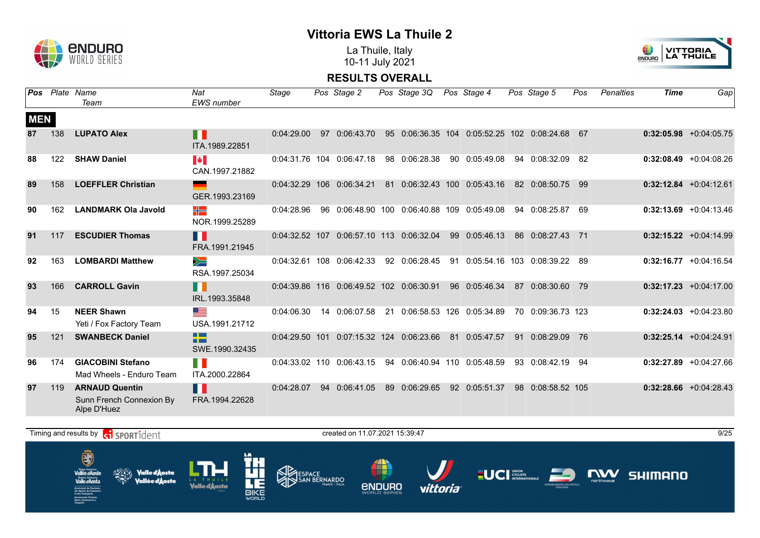

La Thuile, Italy 10-11 July 2021



**RESULTS OVERALL**

|            |     | <b>Pos</b> Plate Name<br>Team                                    | Nat<br><b>EWS</b> number                   | Stage      | Pos Stage 2                  | Pos Stage 3Q Pos Stage 4                         |                                     | Pos Stage 5       | Pos | <b>Penalties</b> | <b>Time</b> | Gap                       |
|------------|-----|------------------------------------------------------------------|--------------------------------------------|------------|------------------------------|--------------------------------------------------|-------------------------------------|-------------------|-----|------------------|-------------|---------------------------|
| <b>MEN</b> |     |                                                                  |                                            |            |                              |                                                  |                                     |                   |     |                  |             |                           |
| 87         | 138 | <b>LUPATO Alex</b>                                               | H<br>ITA.1989.22851                        |            | $0:04:29.00$ 97 $0:06:43.70$ | 95 0:06:36.35 104 0:05:52.25 102 0:08:24.68 67   |                                     |                   |     |                  |             | $0:32:05.98$ +0:04:05.75  |
| 88         | 122 | <b>SHAW Daniel</b>                                               | $\left\  \cdot \right\ $<br>CAN.1997.21882 |            | 0:04:31.76 104 0:06:47.18    | 98 0:06:28.38                                    | 90 0:05:49.08                       | 94 0:08:32.09 82  |     |                  |             | $0:32:08.49$ +0:04:08.26  |
| 89         | 158 | <b>LOEFFLER Christian</b>                                        | GER.1993.23169                             |            | 0:04:32.29 106 0:06:34.21    | 81 0:06:32.43 100 0:05:43.16                     |                                     | 82 0:08:50.75 99  |     |                  |             | $0:32:12.84$ +0:04:12.61  |
| 90         | 162 | <b>LANDMARK Ola Javold</b>                                       | ╬<br>NOR.1999.25289                        | 0:04:28.96 |                              | 96  0:06:48.90  100  0:06:40.88  109  0:05:49.08 |                                     | 94 0:08:25.87 69  |     |                  |             | $0:32:13.69$ +0:04:13.46  |
| 91         | 117 | <b>ESCUDIER Thomas</b>                                           | П<br>FRA.1991.21945                        |            |                              | 0:04:32.52 107 0:06:57.10 113 0:06:32.04         | 99 0:05:46.13                       | 86 0:08:27.43 71  |     |                  |             | $0:32:15.22 +0:04:14.99$  |
| 92         | 163 | <b>LOMBARDI Matthew</b>                                          | $\geqslant$<br>RSA.1997.25034              |            | 0:04:32.61 108 0:06:42.33    | 92 0:06:28.45                                    | 91  0:05:54.16  103  0:08:39.22  89 |                   |     |                  |             | $0:32:16.77$ +0:04:16.54  |
| 93         | 166 | <b>CARROLL Gavin</b>                                             | n<br>IRL.1993.35848                        |            |                              | 0:04:39.86 116 0:06:49.52 102 0:06:30.91         | 96 0:05:46.34                       | 87 0:08:30.60 79  |     |                  |             | $0:32:17.23 + 0:04:17.00$ |
| 94         | -15 | <b>NEER Shawn</b><br>Yeti / Fox Factory Team                     | ▀<br>USA.1991.21712                        | 0:04:06.30 | 14  0:06:07.58               | 21 0:06:58.53 126 0:05:34.89                     |                                     | 70 0:09:36.73 123 |     |                  |             | $0:32:24.03$ +0:04:23.80  |
| 95         | 121 | <b>SWANBECK Daniel</b>                                           | ł۳<br>SWE.1990.32435                       |            |                              | 0:04:29.50 101 0:07:15.32 124 0:06:23.66         | 81 0:05:47.57                       | 91 0:08:29.09     | 76  |                  |             | $0:32:25.14$ +0:04:24.91  |
| 96         | 174 | <b>GIACOBINI Stefano</b><br>Mad Wheels - Enduro Team             | T N<br>ITA.2000.22864                      |            | 0:04:33.02 110 0:06:43.15    | 94  0:06:40.94  110  0:05:48.59                  |                                     | 93 0:08:42.19 94  |     |                  |             | $0:32:27.89$ +0:04:27.66  |
| 97         | 119 | <b>ARNAUD Quentin</b><br>Sunn French Connexion By<br>Alpe D'Huez | Ш<br>FRA.1994.22628                        | 0:04:28.07 | 94 0:06:41.05                | 89 0:06:29.65                                    | 92 0:05:51.37                       | 98 0:08:58.52 105 |     |                  |             | $0:32:28.66$ +0:04:28.43  |

 $T$ iming and results by  $\left[\frac{1}{\sqrt{1}}\right]$  SPORT $\frac{1}{2}$ CPIC created on 11.07.2021 15:39:47

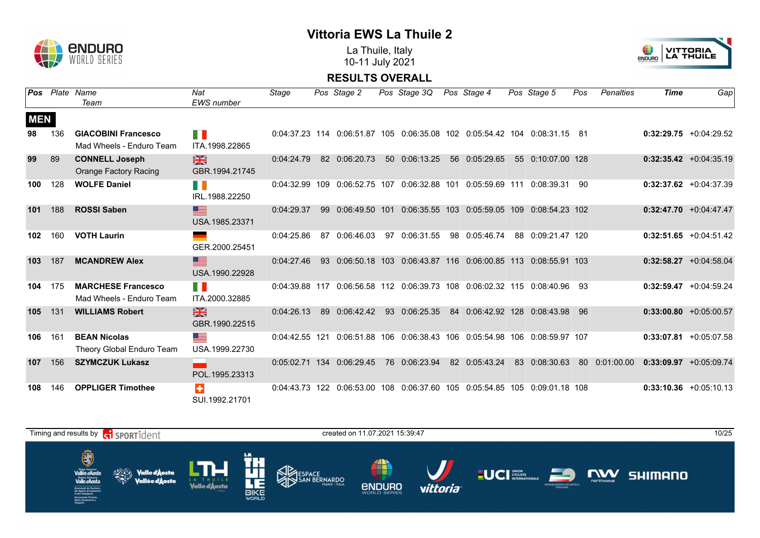

La Thuile, Italy 10-11 July 2021



| Pos        | Plate | Name                                                  | Nat                             | Stage          |     | Pos Stage 2       |                 | Pos Stage 3Q                                                           |    | Pos Stage 4                   |    | Pos Stage 5       | Pos | <b>Penalties</b> | <b>Time</b> | Gap                       |
|------------|-------|-------------------------------------------------------|---------------------------------|----------------|-----|-------------------|-----------------|------------------------------------------------------------------------|----|-------------------------------|----|-------------------|-----|------------------|-------------|---------------------------|
|            |       | Team                                                  | <b>EWS</b> number               |                |     |                   |                 |                                                                        |    |                               |    |                   |     |                  |             |                           |
| <b>MEN</b> |       |                                                       |                                 |                |     |                   |                 |                                                                        |    |                               |    |                   |     |                  |             |                           |
| 98         | 136   | <b>GIACOBINI Francesco</b>                            | T N                             |                |     |                   |                 | 0:04:37.23 114 0:06:51.87 105 0:06:35.08 102 0:05:54.42 104            |    |                               |    | 0:08:31.15        | -81 |                  |             | $0:32:29.75$ +0:04:29.52  |
|            |       | Mad Wheels - Enduro Team                              | ITA.1998.22865                  |                |     |                   |                 |                                                                        |    |                               |    |                   |     |                  |             |                           |
| 99         | 89    | <b>CONNELL Joseph</b>                                 | $\frac{N}{N}$                   | 0:04:24.79     |     | 82 0:06:20.73     | 50 <sup>°</sup> | 0:06:13.25                                                             | 56 | 0:05:29.65                    |    | 55 0:10:07.00 128 |     |                  |             | $0:32:35.42 +0:04:35.19$  |
|            |       | <b>Orange Factory Racing</b>                          | GBR.1994.21745                  |                |     |                   |                 |                                                                        |    |                               |    |                   |     |                  |             |                           |
| 100        | 128   | <b>WOLFE Daniel</b>                                   | H.<br>IRL.1988.22250            | 0:04:32.99     | 109 | 0:06:52.75 107    |                 | 0:06:32.88 101                                                         |    | 0:05:59.69 111                |    | 0:08:39.31        | 90  |                  |             | $0:32:37.62 + 0:04:37.39$ |
| 101        | 188   | <b>ROSSI Saben</b>                                    | ▇<br>USA.1985.23371             | 0:04:29.37     | 99  | 0:06:49.50 101    |                 |                                                                        |    | 0:06:35.55 103 0:05:59.05 109 |    | 0:08:54.23 102    |     |                  |             | $0:32:47.70 + 0:04:47.47$ |
| 102        | 160   | <b>VOTH Laurin</b>                                    | GER.2000.25451                  | 0:04:25.86     | 87  | 0:06:46.03        | 97              | 0:06:31.55                                                             |    | 98 0:05:46.74                 | 88 | 0:09:21.47 120    |     |                  |             | $0:32:51.65 + 0:04:51.42$ |
| 103        | 187   | <b>MCANDREW Alex</b>                                  | <u>se</u><br>USA.1990.22928     | 0:04:27.46     |     | 93 0:06:50.18 103 |                 |                                                                        |    | 0:06:43.87 116 0:06:00.85 113 |    | 0:08:55.91 103    |     |                  |             | $0:32:58.27$ +0:04:58.04  |
| 104        | 175   | <b>MARCHESE Francesco</b><br>Mad Wheels - Enduro Team | n K<br>ITA.2000.32885           |                |     |                   |                 | 0:04:39.88 117 0:06:56.58 112 0:06:39.73 108 0:06:02.32 115 0:08:40.96 |    |                               |    |                   | 93  |                  |             | $0:32:59.47$ +0:04:59.24  |
| 105        | 131   | <b>WILLIAMS Robert</b>                                | $\frac{N}{N}$<br>GBR.1990.22515 | 0:04:26.13     | 89  | 0:06:42.42        | 93              | 0:06:25.35                                                             | 84 | 0:06:42.92 128                |    | 0:08:43.98        | 96  |                  |             | $0:33:00.80 + 0:05:00.57$ |
| 106        | 161   | <b>BEAN Nicolas</b><br>Theory Global Enduro Team      | <u>est</u><br>USA.1999.22730    | 0:04:42.55 121 |     |                   |                 | 0:06:51.88 106 0:06:38.43 106 0:05:54.98 106                           |    |                               |    | 0:08:59.97 107    |     |                  | 0:33:07.81  | +0:05:07.58               |
| 107        | 156   | <b>SZYMCZUK Lukasz</b>                                | POL.1995.23313                  | 0:05:02.71     |     | 134 0:06:29.45    |                 | 76 0:06:23.94                                                          | 82 | 0:05:43.24                    | 83 | 0:08:30.63        |     | 80 0:01:00.00    |             | $0:33:09.97 +0:05:09.74$  |
| 108        | 146   | <b>OPPLIGER Timothee</b>                              | ÷<br>SUI.1992.21701             |                |     |                   |                 | 0:04:43.73 122 0:06:53.00 108 0:06:37.60 105 0:05:54.85 105            |    |                               |    | 0:09:01.18 108    |     |                  |             | $0:33:10.36$ +0:05:10.13  |

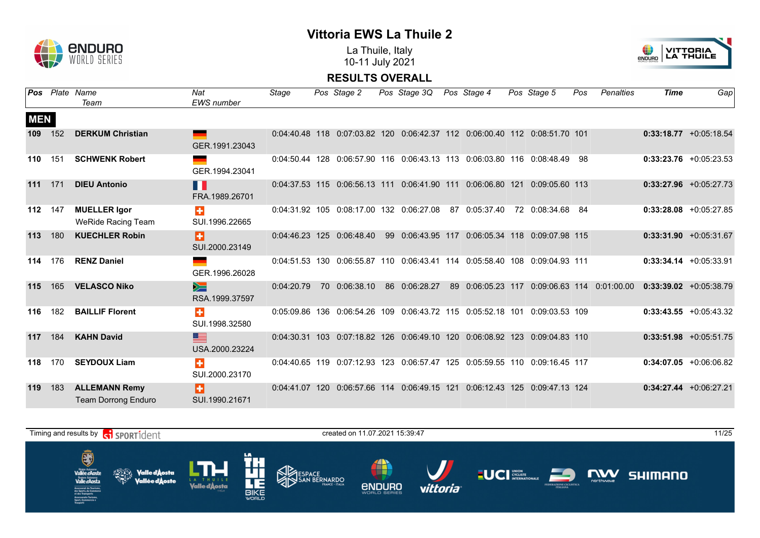

La Thuile, Italy 10-11 July 2021



|            |     | <b>Pos</b> Plate Name<br>Team                      | Nat<br><b>EWS</b> number | Stage      | Pos Stage 2                   | Pos Stage 3Q                                                               |    | Pos Stage 4                   | Pos Stage 5                   | Pos | Penalties                 | <b>Time</b> | Gap                       |
|------------|-----|----------------------------------------------------|--------------------------|------------|-------------------------------|----------------------------------------------------------------------------|----|-------------------------------|-------------------------------|-----|---------------------------|-------------|---------------------------|
|            |     |                                                    |                          |            |                               |                                                                            |    |                               |                               |     |                           |             |                           |
| <b>MEN</b> |     |                                                    |                          |            |                               |                                                                            |    |                               |                               |     |                           |             |                           |
| 109        | 152 | <b>DERKUM Christian</b>                            | GER.1991.23043           |            |                               | 0:04:40.48 118 0:07:03.82 120 0:06:42.37 112 0:06:00.40 112 0:08:51.70 101 |    |                               |                               |     |                           |             | $0:33:18.77$ +0:05:18.54  |
| 110        | 151 | <b>SCHWENK Robert</b>                              | GER.1994.23041           |            |                               | 0:04:50.44 128 0:06:57.90 116 0:06:43.13 113 0:06:03.80 116 0:08:48.49     |    |                               |                               | -98 |                           |             | $0:33:23.76$ +0:05:23.53  |
| 111        | 171 | <b>DIEU Antonio</b>                                | H.<br>FRA.1989.26701     |            | 0:04:37.53 115 0:06:56.13 111 |                                                                            |    | 0:06:41.90 111 0:06:06.80 121 | 0:09:05.60 113                |     |                           |             | $0:33:27.96$ +0:05:27.73  |
| 112        | 147 | <b>MUELLER Igor</b><br><b>WeRide Racing Team</b>   | $\div$<br>SUI.1996.22665 |            |                               | 0:04:31.92 105 0:08:17.00 132 0:06:27.08                                   | 87 | 0:05:37.40                    | 72 0:08:34.68                 | -84 |                           |             | $0:33:28.08$ +0:05:27.85  |
| 113        | 180 | <b>KUECHLER Robin</b>                              | Ð<br>SUI.2000.23149      |            | 0:04:46.23 125 0:06:48.40     | 99  0:06:43.95  117  0:06:05.34  118  0:09:07.98  115                      |    |                               |                               |     |                           |             | $0:33:31.90 + 0:05:31.67$ |
| 114        | 176 | <b>RENZ Daniel</b>                                 | GER.1996.26028           |            |                               | 0:04:51.53 130 0:06:55.87 110 0:06:43.41 114 0:05:58.40 108 0:09:04.93 111 |    |                               |                               |     |                           |             | $0:33:34.14 + 0:05:33.91$ |
| 115        | 165 | <b>VELASCO Niko</b>                                | $\geq$<br>RSA.1999.37597 | 0:04:20.79 | 70 0:06:38.10                 | 86 0:06:28.27                                                              | 89 | 0:06:05.23 117                |                               |     | 0:09:06.63 114 0:01:00.00 |             | $0:33:39.02 +0:05:38.79$  |
| 116        | 182 | <b>BAILLIF Florent</b>                             | ÷<br>SUI.1998.32580      |            |                               | 0:05:09.86 136 0:06:54.26 109 0:06:43.72 115 0:05:52.18 101 0:09:03.53 109 |    |                               |                               |     |                           |             | $0:33:43.55 + 0:05:43.32$ |
| 117        | 184 | <b>KAHN David</b>                                  | ▆<br>USA.2000.23224      |            |                               | 0:04:30.31 103 0:07:18.82 126 0:06:49.10 120 0:06:08.92 123 0:09:04.83 110 |    |                               |                               |     |                           |             | $0:33:51.98$ +0:05:51.75  |
| 118        | 170 | <b>SEYDOUX Liam</b>                                | ÷<br>SUI.2000.23170      |            |                               | 0:04:40.65 119 0:07:12.93 123 0:06:57.47 125 0:05:59.55 110 0:09:16.45 117 |    |                               |                               |     |                           |             | $0:34:07.05 +0:06:06.82$  |
| 119        | 183 | <b>ALLEMANN Remy</b><br><b>Team Dorrong Enduro</b> | H<br>SUI.1990.21671      |            |                               | 0:04:41.07 120 0:06:57.66 114 0:06:49.15 121                               |    |                               | 0:06:12.43 125 0:09:47.13 124 |     |                           |             | $0:34:27.44$ +0:06:27.21  |

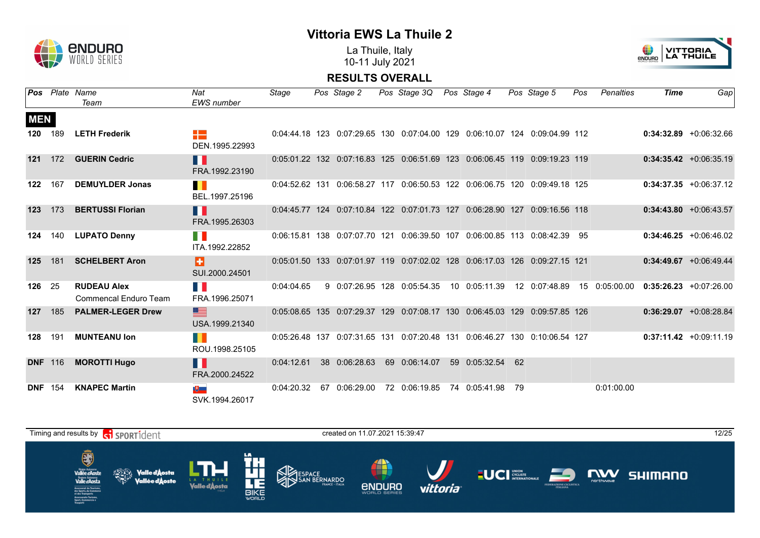

La Thuile, Italy 10-11 July 2021



|                |                | <b>Pos</b> Plate Name                              | Nat                            | Stage      | Pos Stage 2                                                                | Pos Stage 3Q Pos Stage 4 |                  | Pos Stage 5   | Pos | Penalties     | <b>Time</b> | Gap                       |
|----------------|----------------|----------------------------------------------------|--------------------------------|------------|----------------------------------------------------------------------------|--------------------------|------------------|---------------|-----|---------------|-------------|---------------------------|
|                |                | Team                                               | <b>EWS</b> number              |            |                                                                            |                          |                  |               |     |               |             |                           |
| <b>MEN</b>     |                |                                                    |                                |            |                                                                            |                          |                  |               |     |               |             |                           |
| 120            | 189            | <b>LETH Frederik</b>                               | 42<br>DEN.1995.22993           |            | 0:04:44.18 123 0:07:29.65 130 0:07:04.00 129 0:06:10.07 124 0:09:04.99 112 |                          |                  |               |     |               |             | $0:34:32.89$ +0:06:32.66  |
| 121            | 172            | <b>GUERIN Cedric</b>                               | H<br>FRA.1992.23190            |            | 0:05:01.22 132 0:07:16.83 125 0:06:51.69 123 0:06:06.45 119 0:09:19.23 119 |                          |                  |               |     |               |             | $0:34:35.42 + 0:06:35.19$ |
| 122            | 167            | <b>DEMUYLDER Jonas</b>                             | H.<br>BEL.1997.25196           |            | 0:04:52.62 131 0:06:58.27 117 0:06:50.53 122 0:06:06.75 120 0:09:49.18 125 |                          |                  |               |     |               |             | $0:34:37.35 + 0:06:37.12$ |
| 123            | 173            | <b>BERTUSSI Florian</b>                            | H<br>FRA.1995.26303            |            | 0:04:45.77 124 0:07:10.84 122 0:07:01.73 127 0:06:28.90 127 0:09:16.56 118 |                          |                  |               |     |               |             | $0:34:43.80 + 0:06:43.57$ |
| 124            | 140            | <b>LUPATO Denny</b>                                | TI N<br>ITA.1992.22852         |            | 0:06:15.81 138 0:07:07.70 121 0:06:39.50 107 0:06:00.85 113 0:08:42.39 95  |                          |                  |               |     |               |             | $0:34:46.25 + 0:06:46.02$ |
| 125            | 181            | <b>SCHELBERT Aron</b>                              | в<br>SUI.2000.24501            |            | 0:05:01.50 133 0:07:01.97 119 0:07:02.02 128 0:06:17.03 126 0:09:27.15 121 |                          |                  |               |     |               |             | $0:34:49.67$ +0:06:49.44  |
| 126 25         |                | <b>RUDEAU Alex</b><br><b>Commencal Enduro Team</b> | <b>TIME</b><br>FRA.1996.25071  | 0:04:04.65 | 9 0:07:26.95 128 0:05:54.35                                                |                          | 10 0:05:11.39    | 12 0:07:48.89 |     | 15 0:05:00.00 |             | $0:35:26.23 +0:07:26.00$  |
| 127            | 185            | <b>PALMER-LEGER Drew</b>                           | ▆▆<br>USA.1999.21340           |            | 0:05:08.65 135 0:07:29.37 129 0:07:08.17 130 0:06:45.03 129 0:09:57.85 126 |                          |                  |               |     |               |             | $0:36:29.07$ +0:08:28.84  |
| 128            | 191            | <b>MUNTEANU Ion</b>                                | H.<br>ROU.1998.25105           |            | 0:05:26.48 137 0:07:31.65 131 0:07:20.48 131 0:06:46.27 130 0:10:06.54 127 |                          |                  |               |     |               |             | $0:37:11.42 +0:09:11.19$  |
|                | <b>DNF</b> 116 | <b>MOROTTI Hugo</b>                                | H.<br>FRA.2000.24522           | 0:04:12.61 | 38 0:06:28.63                                                              | 69 0:06:14.07            | 59 0:05:32.54 62 |               |     |               |             |                           |
| <b>DNF</b> 154 |                | <b>KNAPEC Martin</b>                               | $\mathbb{R}$<br>SVK.1994.26017 | 0:04:20.32 | 67 0:06:29.00                                                              | 72 0:06:19.85            | 74 0:05:41.98 79 |               |     | 0:01:00.00    |             |                           |

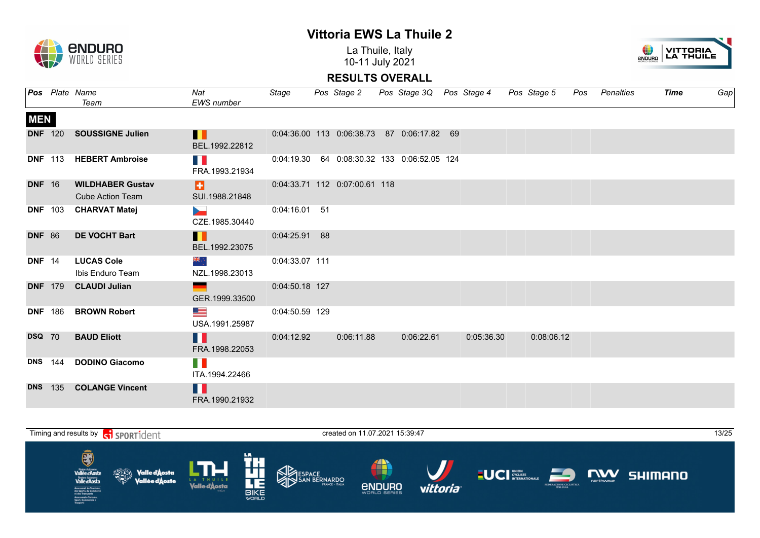

La Thuile, Italy 10-11 July 2021



|               |                | <b>Pos</b> Plate Name                              | Nat                                | Stage          | Pos Stage 2                   | Pos Stage 3Q Pos Stage 4                         |            | Pos Stage 5 | Pos | Penalties | <b>Time</b> | Gap |
|---------------|----------------|----------------------------------------------------|------------------------------------|----------------|-------------------------------|--------------------------------------------------|------------|-------------|-----|-----------|-------------|-----|
|               |                | Team                                               | <b>EWS</b> number                  |                |                               |                                                  |            |             |     |           |             |     |
| <b>MEN</b>    |                |                                                    |                                    |                |                               |                                                  |            |             |     |           |             |     |
|               | <b>DNF</b> 120 | <b>SOUSSIGNE Julien</b>                            | Ш<br>BEL.1992.22812                |                |                               | 0:04:36.00 113 0:06:38.73 87 0:06:17.82 69       |            |             |     |           |             |     |
|               |                | DNF 113 HEBERT Ambroise                            | HT.<br>FRA.1993.21934              |                |                               | 0:04:19.30  64  0:08:30.32  133  0:06:52.05  124 |            |             |     |           |             |     |
| <b>DNF</b> 16 |                | <b>WILDHABER Gustav</b><br><b>Cube Action Team</b> | Ð.<br>SUI.1988.21848               |                | 0:04:33.71 112 0:07:00.61 118 |                                                  |            |             |     |           |             |     |
|               |                | DNF 103 CHARVAT Matej                              | <b>Septiment</b><br>CZE.1985.30440 | 0:04:16.01 51  |                               |                                                  |            |             |     |           |             |     |
| <b>DNF 86</b> |                | <b>DE VOCHT Bart</b>                               | Ш<br>BEL.1992.23075                | 0:04:25.91 88  |                               |                                                  |            |             |     |           |             |     |
| <b>DNF</b> 14 |                | <b>LUCAS Cole</b><br>Ibis Enduro Team              | ्र अस्<br>NZL.1998.23013           | 0:04:33.07 111 |                               |                                                  |            |             |     |           |             |     |
|               |                | DNF 179 CLAUDI Julian                              | GER.1999.33500                     | 0:04:50.18 127 |                               |                                                  |            |             |     |           |             |     |
|               | <b>DNF</b> 186 | <b>BROWN Robert</b>                                | <u>est</u><br>USA.1991.25987       | 0:04:50.59 129 |                               |                                                  |            |             |     |           |             |     |
| <b>DSQ</b> 70 |                | <b>BAUD Eliott</b>                                 | Ш<br>FRA.1998.22053                | 0:04:12.92     | 0:06:11.88                    | 0:06:22.61                                       | 0:05:36.30 | 0:08:06.12  |     |           |             |     |
|               | <b>DNS</b> 144 | <b>DODINO Giacomo</b>                              | H<br>ITA.1994.22466                |                |                               |                                                  |            |             |     |           |             |     |
|               |                | DNS 135 COLANGE Vincent                            | F.<br>FRA.1990.21932               |                |                               |                                                  |            |             |     |           |             |     |

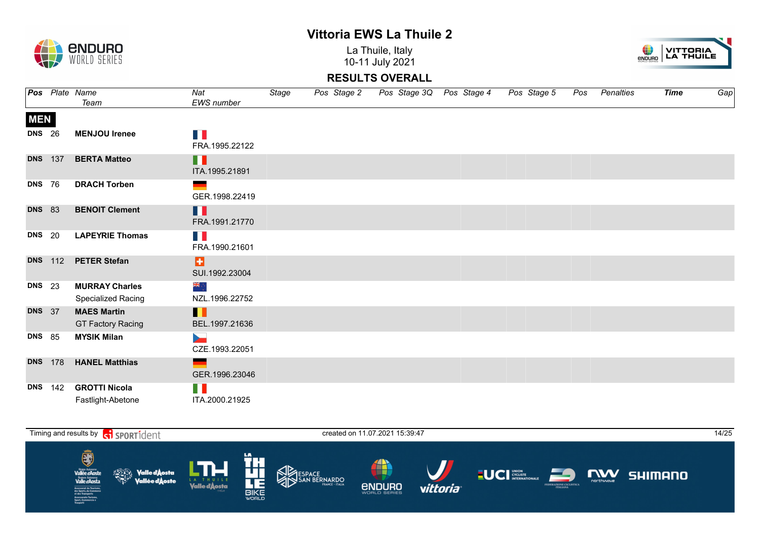La Thuile, Italy 10-11 July 2021



|               |                | <b>Pos</b> Plate Name<br>Team                  | Nat<br><b>EWS</b> number         | Stage | Pos Stage 2 | Pos Stage 3Q Pos Stage 4 | Pos Stage 5 | Pos Penalties | Time | Gap |
|---------------|----------------|------------------------------------------------|----------------------------------|-------|-------------|--------------------------|-------------|---------------|------|-----|
| <b>MEN</b>    |                |                                                |                                  |       |             |                          |             |               |      |     |
| <b>DNS</b> 26 |                | <b>MENJOU Irenee</b>                           | T 6<br>FRA.1995.22122            |       |             |                          |             |               |      |     |
|               | <b>DNS</b> 137 | <b>BERTA Matteo</b>                            | H<br>ITA.1995.21891              |       |             |                          |             |               |      |     |
| <b>DNS</b> 76 |                | <b>DRACH Torben</b>                            | GER.1998.22419                   |       |             |                          |             |               |      |     |
| <b>DNS</b> 83 |                | <b>BENOIT Clement</b>                          | H<br>FRA.1991.21770              |       |             |                          |             |               |      |     |
| <b>DNS</b> 20 |                | <b>LAPEYRIE Thomas</b>                         | T B<br>FRA.1990.21601            |       |             |                          |             |               |      |     |
|               |                | DNS 112 PETER Stefan                           | o<br>SUI.1992.23004              |       |             |                          |             |               |      |     |
| <b>DNS</b> 23 |                | <b>MURRAY Charles</b><br>Specialized Racing    | ∻, pag<br>NZL.1996.22752         |       |             |                          |             |               |      |     |
| <b>DNS</b> 37 |                | <b>MAES Martin</b><br><b>GT Factory Racing</b> | Ш<br>BEL.1997.21636              |       |             |                          |             |               |      |     |
| <b>DNS</b> 85 |                | <b>MYSIK Milan</b>                             | <b>Service</b><br>CZE.1993.22051 |       |             |                          |             |               |      |     |
|               | <b>DNS</b> 178 | <b>HANEL Matthias</b>                          | $\sim$<br>GER.1996.23046         |       |             |                          |             |               |      |     |
|               | <b>DNS</b> 142 | <b>GROTTI Nicola</b><br>Fastlight-Abetone      | H 11<br>ITA.2000.21925           |       |             |                          |             |               |      |     |



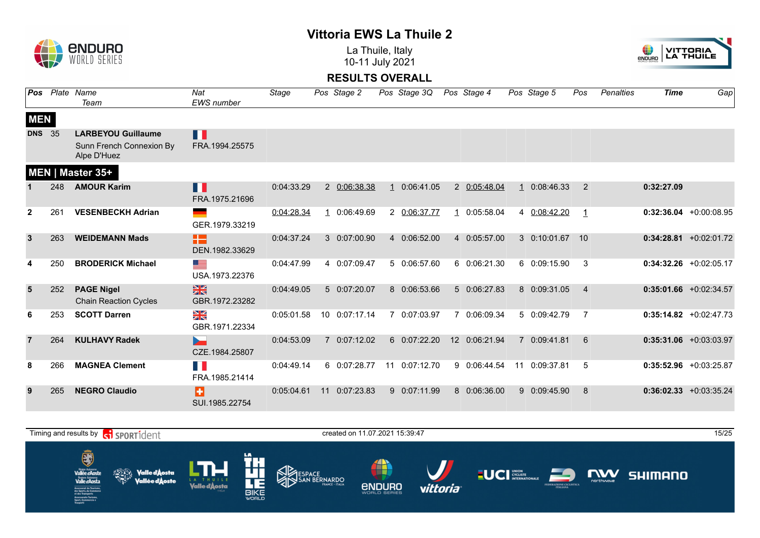La Thuile, Italy 10-11 July 2021



| Pos            |     | Plate Name<br>Team                                                   | Nat<br><b>EWS</b> number        | Stage      |    | Pos Stage 2   | Pos Stage 3Q  |              | Pos Stage 4   | Pos Stage 5   | Pos            | Penalties | Time       | Gap                       |
|----------------|-----|----------------------------------------------------------------------|---------------------------------|------------|----|---------------|---------------|--------------|---------------|---------------|----------------|-----------|------------|---------------------------|
| <b>MEN</b>     |     |                                                                      |                                 |            |    |               |               |              |               |               |                |           |            |                           |
| <b>DNS</b> 35  |     | <b>LARBEYOU Guillaume</b><br>Sunn French Connexion By<br>Alpe D'Huez | П<br>FRA.1994.25575             |            |    |               |               |              |               |               |                |           |            |                           |
|                |     | <b>MEN   Master 35+</b>                                              |                                 |            |    |               |               |              |               |               |                |           |            |                           |
|                | 248 | <b>AMOUR Karim</b>                                                   | Ш<br>FRA.1975.21696             | 0:04:33.29 |    | 2 0:06:38.38  | 1 0:06:41.05  |              | 2 0:05:48.04  | 1 0:08:46.33  | 2              |           | 0:32:27.09 |                           |
| $\mathbf{2}$   | 261 | <b>VESENBECKH Adrian</b>                                             | GER.1979.33219                  | 0:04:28.34 |    | 1 0:06:49.69  | 2 0:06:37.77  | $\mathbf{1}$ | 0:05:58.04    | 4 0:08:42.20  | $\mathbf{1}$   |           |            | $0:32:36.04$ +0:00:08.95  |
| $\mathbf{3}$   | 263 | <b>WEIDEMANN Mads</b>                                                | æ<br>DEN.1982.33629             | 0:04:37.24 |    | 3 0:07:00.90  | 4 0:06:52.00  |              | 4 0:05:57.00  | 3 0:10:01.67  | 10             |           |            | $0:34:28.81 + 0:02:01.72$ |
|                | 250 | <b>BRODERICK Michael</b>                                             | <u> and</u><br>USA.1973.22376   | 0:04:47.99 |    | 4 0:07:09.47  | 5 0:06:57.60  |              | 6 0:06:21.30  | 6 0:09:15.90  | 3              |           |            | $0:34:32.26$ +0:02:05.17  |
| 5              | 252 | <b>PAGE Nigel</b><br><b>Chain Reaction Cycles</b>                    | $\frac{N}{N}$<br>GBR.1972.23282 | 0:04:49.05 |    | 5 0:07:20.07  | 8 0:06:53.66  |              | 5 0:06:27.83  | 8 0:09:31.05  | $\overline{4}$ |           |            | $0:35:01.66$ +0:02:34.57  |
| 6              | 253 | <b>SCOTT Darren</b>                                                  | ≫<br>X<br>GBR.1971.22334        | 0:05:01.58 |    | 10 0:07:17.14 | 7 0:07:03.97  |              | 7 0:06:09.34  | 5 0:09:42.79  | 7              |           |            | $0:35:14.82 + 0:02:47.73$ |
| $\overline{7}$ | 264 | <b>KULHAVY Radek</b>                                                 | D.,<br>CZE.1984.25807           | 0:04:53.09 |    | 7 0:07:12.02  | 6 0:07:22.20  |              | 12 0:06:21.94 | 7 0:09:41.81  | 6              |           |            | $0:35:31.06$ +0:03:03.97  |
| 8              | 266 | <b>MAGNEA Clement</b>                                                | E.<br>FRA.1985.21414            | 0:04:49.14 |    | 6 0:07:28.77  | 11 0:07:12.70 |              | 9 0:06:44.54  | 11 0:09:37.81 | 5              |           |            | $0:35:52.96$ +0:03:25.87  |
| 9              | 265 | <b>NEGRO Claudio</b>                                                 | B<br>SUI.1985.22754             | 0:05:04.61 | 11 | 0:07:23.83    | 9 0:07:11.99  |              | 8 0:06:36.00  | 9 0:09:45.90  | 8              |           |            | $0:36:02.33 + 0:03:35.24$ |



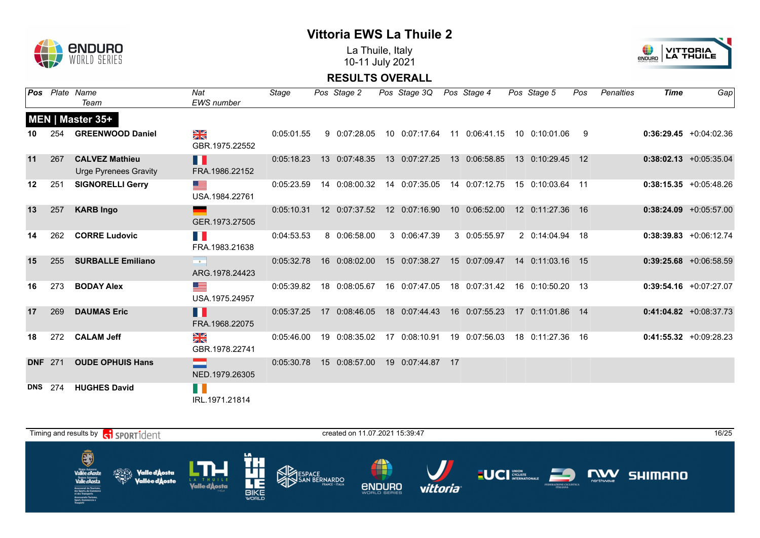

La Thuile, Italy 10-11 July 2021



| Pos        |                | Plate Name<br>Team                                    | Nat<br>EWS number                                        | Stage      | Pos Stage 2   | Pos Stage 3Q Pos Stage 4 |    |                                           | Pos Stage 5      | Pos | Penalties | <b>Time</b> | Gap                       |
|------------|----------------|-------------------------------------------------------|----------------------------------------------------------|------------|---------------|--------------------------|----|-------------------------------------------|------------------|-----|-----------|-------------|---------------------------|
|            |                | MEN   Master 35+                                      |                                                          |            |               |                          |    |                                           |                  |     |           |             |                           |
| 10         | 254            | <b>GREENWOOD Daniel</b>                               | $\frac{N}{N}$<br>GBR.1975.22552                          | 0:05:01.55 | 9 0:07:28.05  |                          |    | 10 0:07:17.64 11 0:06:41.15 10 0:10:01.06 |                  | -9  |           |             | $0:36:29.45 +0:04:02.36$  |
| 11         | 267            | <b>CALVEZ Mathieu</b><br><b>Urge Pyrenees Gravity</b> | Ш<br>FRA.1986.22152                                      | 0:05:18.23 | 13 0:07:48.35 | 13 0:07:27.25            |    | 13 0:06:58.85                             | 13 0:10:29.45 12 |     |           |             | $0:38:02.13 + 0:05:35.04$ |
| 12         | 251            | <b>SIGNORELLI Gerry</b>                               | <u>est</u><br>USA.1984.22761                             | 0:05:23.59 | 14 0:08:00.32 | 14 0:07:35.05            |    | 14 0:07:12.75 15 0:10:03.64 11            |                  |     |           |             | $0:38:15.35 + 0:05:48.26$ |
| 13         | 257            | <b>KARB Ingo</b>                                      | - 1<br>GER.1973.27505                                    | 0:05:10.31 | 12 0:07:37.52 | 12 0:07:16.90            |    | 10 0:06:52.00                             | 12 0:11:27.36 16 |     |           |             | $0:38:24.09$ +0:05:57.00  |
| 14         | 262            | <b>CORRE Ludovic</b>                                  | H.<br>FRA.1983.21638                                     | 0:04:53.53 | 8 0:06:58.00  | 3 0:06:47.39             |    | 3 0:05:55.97                              | 2 0:14:04.94 18  |     |           |             | $0:38:39.83 + 0:06:12.74$ |
| 15         | 255            | <b>SURBALLE Emiliano</b>                              | $\mathcal{O}(\mathcal{O}_\mathcal{O})$<br>ARG.1978.24423 | 0:05:32.78 | 16 0:08:02.00 | 15 0:07:38.27            |    | 15 0:07:09.47                             | 14 0:11:03.16 15 |     |           |             | $0:39:25.68$ +0:06:58.59  |
| 16         | 273            | <b>BODAY Alex</b>                                     | <u>sta</u><br>USA.1975.24957                             | 0:05:39.82 | 18 0:08:05.67 | 16 0:07:47.05            |    | 18  0:07:31.42                            | 16 0:10:50.20 13 |     |           |             | $0:39:54.16$ +0:07:27.07  |
| 17         | 269            | <b>DAUMAS Eric</b>                                    | Ш<br>FRA.1968.22075                                      | 0:05:37.25 | 17 0:08:46.05 | 18 0:07:44.43            |    | 16 0:07:55.23                             | 17 0:11:01.86 14 |     |           |             | $0:41:04.82 + 0:08:37.73$ |
| 18         | 272            | <b>CALAM Jeff</b>                                     | N<br>X<br>GBR.1978.22741                                 | 0:05:46.00 | 19 0:08:35.02 | 17 0:08:10.91            |    | 19 0:07:56.03                             | 18 0:11:27.36 16 |     |           |             | $0:41:55.32 +0:09:28.23$  |
|            | <b>DNF</b> 271 | <b>OUDE OPHUIS Hans</b>                               | NED.1979.26305                                           | 0:05:30.78 | 15 0:08:57.00 | 19 0:07:44.87            | 17 |                                           |                  |     |           |             |                           |
| <b>DNS</b> | 274            | <b>HUGHES David</b>                                   | H.<br>IRL.1971.21814                                     |            |               |                          |    |                                           |                  |     |           |             |                           |

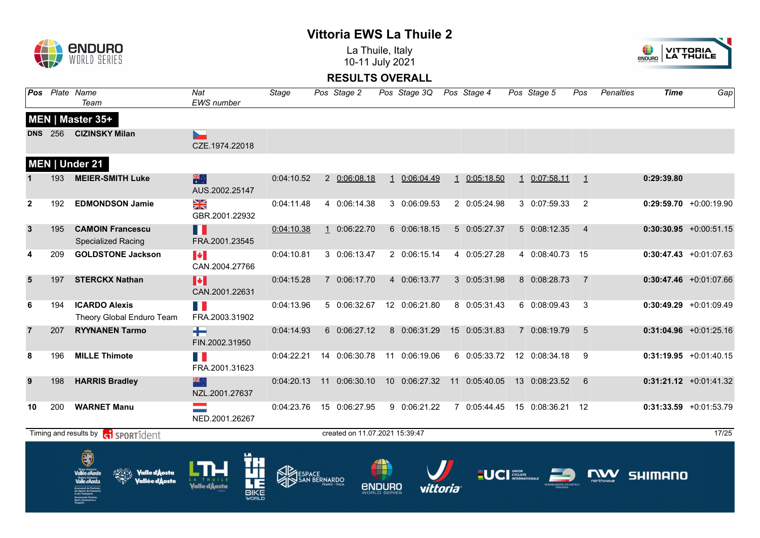La Thuile, Italy 10-11 July 2021





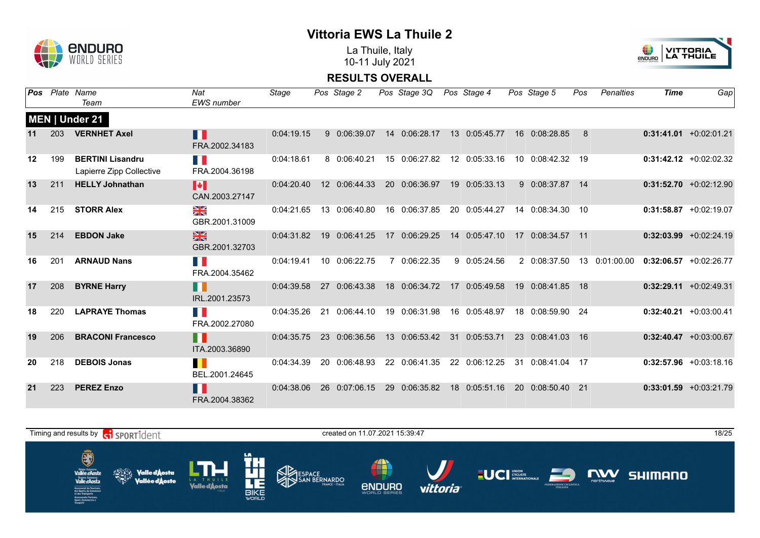

La Thuile, Italy 10-11 July 2021



| Pos     |     | Plate Name<br>Team                                  | Nat<br><b>EWS</b> number         | Stage      | Pos Stage 2   | Pos Stage 3Q  | Pos Stage 4   |                 | Pos Stage 5      | Pos | Penalties     | <b>Time</b> | Gap                       |
|---------|-----|-----------------------------------------------------|----------------------------------|------------|---------------|---------------|---------------|-----------------|------------------|-----|---------------|-------------|---------------------------|
|         |     | MEN   Under 21                                      |                                  |            |               |               |               |                 |                  |     |               |             |                           |
|         | 203 | <b>VERNHET Axel</b>                                 | H<br>FRA.2002.34183              | 0:04:19.15 | 9 0:06:39.07  | 14 0:06:28.17 | 13 0:05:45.77 |                 | 16 0:08:28.85    | 8   |               |             | $0:31:41.01 + 0:02:01.21$ |
| $12 \,$ | 199 | <b>BERTINI Lisandru</b><br>Lapierre Zipp Collective | n K<br>FRA.2004.36198            | 0:04:18.61 | 8 0:06:40.21  | 15 0:06:27.82 | 12 0:05:33.16 |                 | 10 0:08:42.32 19 |     |               |             | $0:31:42.12 + 0:02:02.32$ |
| 13      | 211 | <b>HELLY Johnathan</b>                              | M<br>CAN.2003.27147              | 0:04:20.40 | 12 0:06:44.33 | 20 0:06:36.97 | 19 0:05:33.13 |                 | 9 0:08:37.87 14  |     |               |             | $0:31:52.70 +0:02:12.90$  |
| 14      | 215 | <b>STORR Alex</b>                                   | ≫<br>R<br>GBR.2001.31009         | 0:04:21.65 | 13 0:06:40.80 | 16 0:06:37.85 | 20 0:05:44.27 |                 | 14 0:08:34.30 10 |     |               |             | $0:31:58.87 + 0:02:19.07$ |
| 15      | 214 | <b>EBDON Jake</b>                                   | $\frac{N}{N}$<br>GBR.2001.32703  | 0:04:31.82 | 19 0:06:41.25 | 17 0:06:29.25 | 14 0:05:47.10 | 17 <sup>2</sup> | 0:08:34.57 11    |     |               |             | $0:32:03.99$ +0:02:24.19  |
| 16      | 201 | <b>ARNAUD Nans</b>                                  | FRA.2004.35462                   | 0:04:19.41 | 10 0:06:22.75 | 7 0:06:22.35  | 9 0:05:24.56  |                 | 2 0:08:37.50     |     | 13 0:01:00.00 |             | $0:32:06.57$ +0:02:26.77  |
| 17      | 208 | <b>BYRNE Harry</b>                                  | H<br>IRL.2001.23573              | 0:04:39.58 | 27 0:06:43.38 | 18 0:06:34.72 | 17 0:05:49.58 | 19 <sup>°</sup> | 0:08:41.85 18    |     |               |             | $0:32:29.11 + 0:02:49.31$ |
| 18      | 220 | <b>LAPRAYE Thomas</b>                               | T.<br>FRA.2002.27080             | 0:04:35.26 | 21 0:06:44.10 | 19 0:06:31.98 | 16 0:05:48.97 |                 | 18 0:08:59.90 24 |     |               |             | $0:32:40.21 + 0:03:00.41$ |
| 19      | 206 | <b>BRACONI Francesco</b>                            | H<br>ITA.2003.36890              | 0:04:35.75 | 23 0:06:36.56 | 13 0:06:53.42 | 31 0:05:53.71 |                 | 23 0:08:41.03 16 |     |               |             | $0:32:40.47$ +0:03:00.67  |
| 20      | 218 | <b>DEBOIS Jonas</b>                                 | $\blacksquare$<br>BEL.2001.24645 | 0:04:34.39 | 20 0:06:48.93 | 22 0:06:41.35 | 22 0:06:12.25 | 31              | 0:08:41.04       | 17  |               |             | $0:32:57.96$ +0:03:18.16  |
| 21      | 223 | <b>PEREZ Enzo</b>                                   | H<br>FRA.2004.38362              | 0:04:38.06 | 26 0:07:06.15 | 29 0:06:35.82 | 18 0:05:51.16 |                 | 20 0:08:50.40 21 |     |               |             | $0:33:01.59$ +0:03:21.79  |

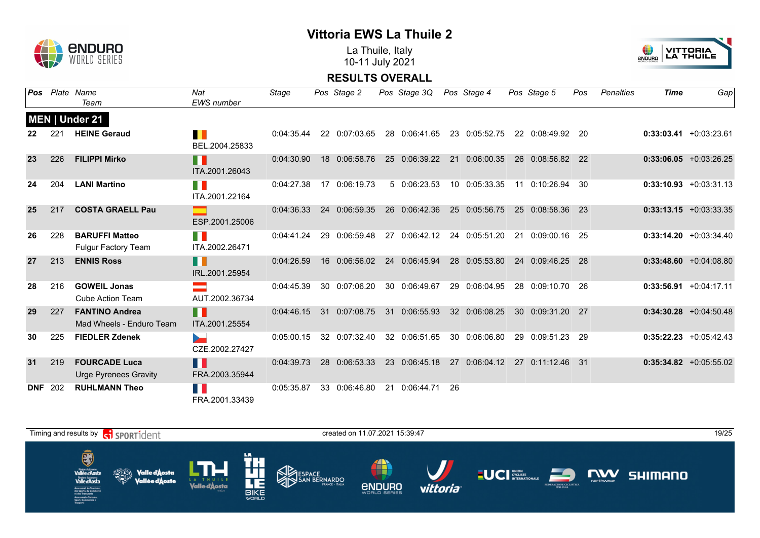

La Thuile, Italy 10-11 July 2021



| Pos        |     | Plate Name<br>Team                                  | Nat<br><b>EWS</b> number         | Stage      | Pos Stage 2   |    | Pos Stage 3Q  |    | Pos Stage 4   |           | Pos Stage 5      | Pos | <b>Penalties</b> | <b>Time</b> | Gap                       |
|------------|-----|-----------------------------------------------------|----------------------------------|------------|---------------|----|---------------|----|---------------|-----------|------------------|-----|------------------|-------------|---------------------------|
|            |     | MEN   Under 21                                      |                                  |            |               |    |               |    |               |           |                  |     |                  |             |                           |
|            | 221 | <b>HEINE Geraud</b>                                 | $\blacksquare$<br>BEL.2004.25833 | 0:04:35.44 | 22 0:07:03.65 |    | 28 0:06:41.65 |    | 23 0:05:52.75 |           | 22 0:08:49.92    | 20  |                  |             | $0:33:03.41 + 0:03:23.61$ |
| 23         | 226 | <b>FILIPPI Mirko</b>                                | H<br>ITA.2001.26043              | 0:04:30.90 | 18 0:06:58.76 | 25 | 0:06:39.22    | 21 | 0:06:00.35    |           | 26 0:08:56.82 22 |     |                  |             | $0:33:06.05$ +0:03:26.25  |
| 24         | 204 | <b>LANI Martino</b>                                 | n N<br>ITA.2001.22164            | 0:04:27.38 | 17 0:06:19.73 |    | 5 0:06:23.53  |    | 10 0:05:33.35 | 11        | 0:10:26.94       | 30  |                  |             | $0:33:10.93 + 0:03:31.13$ |
| 25         | 217 | <b>COSTA GRAELL Pau</b>                             | ESP.2001.25006                   | 0:04:36.33 | 24 0:06:59.35 |    | 26 0:06:42.36 |    | 25 0:05:56.75 |           | 25 0:08:58.36    | -23 |                  |             | $0:33:13.15 + 0:03:33.35$ |
| 26         | 228 | <b>BARUFFI Matteo</b><br><b>Fulgur Factory Team</b> | TI N<br>ITA.2002.26471           | 0:04:41.24 | 29 0:06:59.48 |    | 27 0:06:42.12 |    | 24 0:05:51.20 | 21        | 0:09:00.16       | -25 |                  |             | $0:33:14.20 + 0:03:34.40$ |
| 27         | 213 | <b>ENNIS Ross</b>                                   | H<br>IRL.2001.25954              | 0:04:26.59 | 16 0:06:56.02 |    | 24 0:06:45.94 |    | 28 0:05:53.80 |           | 24 0:09:46.25    | -28 |                  |             | $0:33:48.60 + 0:04:08.80$ |
| 28         | 216 | <b>GOWEIL Jonas</b><br><b>Cube Action Team</b>      | AUT.2002.36734                   | 0:04:45.39 | 30 0:07:06.20 |    | 30 0:06:49.67 |    | 29 0:06:04.95 | 28        | 0:09:10.70       | -26 |                  |             | $0:33:56.91 + 0:04:17.11$ |
| 29         | 227 | <b>FANTINO Andrea</b><br>Mad Wheels - Enduro Team   | F.<br>ITA.2001.25554             | 0:04:46.15 | 31 0:07:08.75 |    | 31 0:06:55.93 |    | 32 0:06:08.25 |           | 30 0:09:31.20    | -27 |                  |             | $0:34:30.28$ +0:04:50.48  |
| 30         | 225 | <b>FIEDLER Zdenek</b>                               | CZE.2002.27427                   | 0:05:00.15 | 32 0:07:32.40 |    | 32 0:06:51.65 |    | 30 0:06:06.80 |           | 29 0:09:51.23    | -29 |                  |             | $0:35:22.23 + 0:05:42.43$ |
| 31         | 219 | <b>FOURCADE Luca</b><br>Urge Pyrenees Gravity       | H.<br>FRA.2003.35944             | 0:04:39.73 | 28 0:06:53.33 |    | 23 0:06:45.18 | 27 | 0:06:04.12    | <b>27</b> | $0:11:12.46$ 31  |     |                  |             | $0:35:34.82$ +0:05:55.02  |
| <b>DNF</b> | 202 | <b>RUHLMANN Theo</b>                                | Ш<br>FRA.2001.33439              | 0:05:35.87 | 33 0:06:46.80 |    | 21 0:06:44.71 | 26 |               |           |                  |     |                  |             |                           |

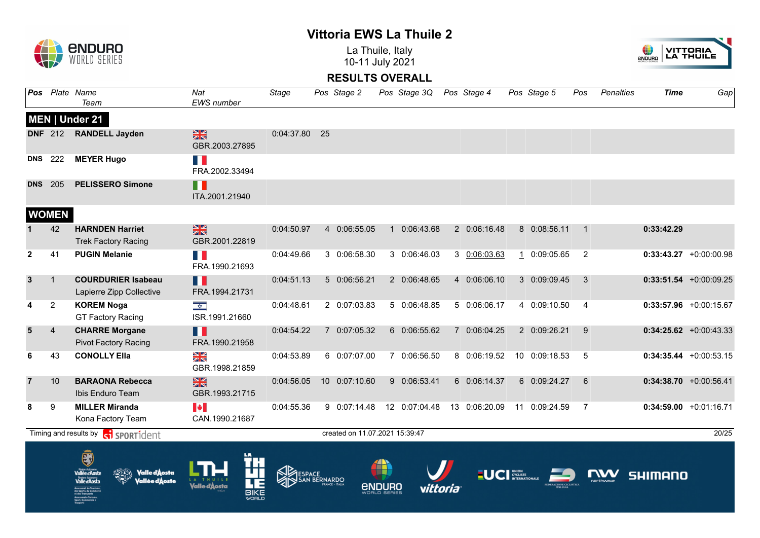**ENDURO**  $\mathbf{r}$ 

La Thuile, Italy 10-11 July 2021



| <b>DNS</b><br><b>DNS</b> 205<br><b>WOMEN</b> | 222<br>42      | MEN   Under 21<br>DNF 212 RANDELL Jayden<br><b>MEYER Hugo</b><br><b>PELISSERO Simone</b> | $\frac{N}{N}$<br>GBR.2003.27895<br>n e<br>FRA.2002.33494<br>П<br>ITA.2001.21940 | 0:04:37.80 25 |                        |                                |        |               |                       |               |                              |                |                           |
|----------------------------------------------|----------------|------------------------------------------------------------------------------------------|---------------------------------------------------------------------------------|---------------|------------------------|--------------------------------|--------|---------------|-----------------------|---------------|------------------------------|----------------|---------------------------|
|                                              |                |                                                                                          |                                                                                 |               |                        |                                |        |               |                       |               |                              |                |                           |
|                                              |                |                                                                                          |                                                                                 |               |                        |                                |        |               |                       |               |                              |                |                           |
|                                              |                |                                                                                          |                                                                                 |               |                        |                                |        |               |                       |               |                              |                |                           |
|                                              |                |                                                                                          |                                                                                 |               |                        |                                |        |               |                       |               |                              |                |                           |
|                                              |                |                                                                                          |                                                                                 |               |                        |                                |        |               |                       |               |                              |                |                           |
|                                              |                | <b>HARNDEN Harriet</b><br><b>Trek Factory Racing</b>                                     | $\frac{N}{N}$<br>GBR.2001.22819                                                 | 0:04:50.97    |                        | 4 0:06:55.05                   |        | 1 0:06:43.68  | 2 0:06:16.48          | 8 0:08:56.11  | $\bigoplus$                  | 0:33:42.29     |                           |
| $\mathbf{2}$                                 | 41             | <b>PUGIN Melanie</b>                                                                     | FI B<br>FRA.1990.21693                                                          | 0:04:49.66    |                        | 3 0:06:58.30                   |        | 3 0:06:46.03  | 3 0:06:03.63          | 1 0:09:05.65  | 2                            |                | $0:33:43.27$ +0:00:00.98  |
| $\mathbf{3}$                                 | $\mathbf{1}$   | <b>COURDURIER Isabeau</b><br>Lapierre Zipp Collective                                    | <b>. .</b><br>FRA.1994.21731                                                    | 0:04:51.13    |                        | 5 0:06:56.21                   |        | 2 0:06:48.65  | 4 0:06:06.10          | 3 0:09:09.45  | 3                            |                | $0:33:51.54 + 0:00:09.25$ |
| 4                                            | $\overline{2}$ | <b>KOREM Noga</b><br><b>GT Factory Racing</b>                                            | $\frac{1}{2}$<br>ISR.1991.21660                                                 | 0:04:48.61    |                        | 2 0:07:03.83                   |        | 5 0:06:48.85  | 5 0:06:06.17          | 4 0:09:10.50  | $\overline{4}$               |                | $0:33:57.96$ +0:00:15.67  |
| 5                                            | $\overline{4}$ | <b>CHARRE Morgane</b><br><b>Pivot Factory Racing</b>                                     | Ш<br>FRA.1990.21958                                                             | 0:04:54.22    |                        | 7 0:07:05.32                   |        | 6 0:06:55.62  | 7 0:06:04.25          | 2 0:09:26.21  | 9                            |                | $0:34:25.62$ +0:00:43.33  |
| 6                                            | 43             | <b>CONOLLY Ella</b>                                                                      | NK<br>Ak<br>GBR.1998.21859                                                      | 0:04:53.89    |                        | 6 0:07:07.00                   |        | 7 0:06:56.50  | 8 0:06:19.52          | 10 0:09:18.53 | 5                            |                | $0:34:35.44 +0:00:53.15$  |
| $\overline{7}$                               | 10             | <b>BARAONA Rebecca</b><br>Ibis Enduro Team                                               | $\frac{N}{N}$<br>GBR.1993.21715                                                 | 0:04:56.05    |                        | 10 0:07:10.60                  |        | 9 0:06:53.41  | 6 0:06:14.37          | 6 0:09:24.27  | 6                            |                | $0:34:38.70 +0:00:56.41$  |
| 8                                            | 9              | <b>MILLER Miranda</b><br>Kona Factory Team                                               | $\blacktriangleright$<br>CAN.1990.21687                                         | 0:04:55.36    |                        | 9 0:07:14.48                   |        | 12 0:07:04.48 | 13 0:06:20.09         | 11 0:09:24.59 | $\overline{7}$               |                | $0:34:59.00 +0:01:16.71$  |
|                                              |                | Timing and results by <b>c</b> o <b>SPORT1</b> dent                                      |                                                                                 |               |                        | created on 11.07.2021 15:39:47 |        |               |                       |               |                              |                | 20/25                     |
|                                              |                | Õ<br><b>Valle d</b> Aosta<br><b>∕allée d'∆oste</b>                                       | <b>BIKE</b>                                                                     |               | ESPACE<br>SAN BERNARDO |                                | enduro | vittoria      | <b>LUCI EXPLOSITE</b> |               | $\sum_{\text{nontrivative}}$ | <b>SHIMANO</b> |                           |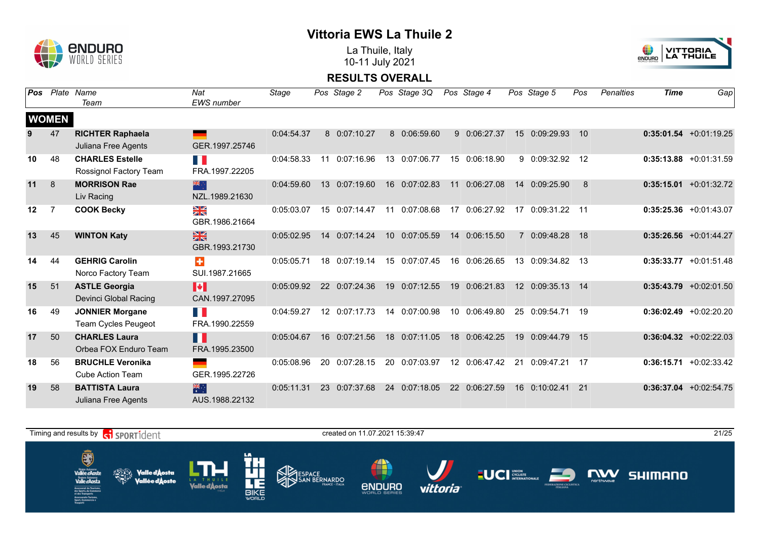

La Thuile, Italy 10-11 July 2021



| <b>Pos</b> |              | Plate Name<br>Team                                   | Nat<br><b>EWS</b> number                  | Stage      |    | Pos Stage 2   |                 | Pos Stage 3Q  |                 | Pos Stage 4   |             | Pos Stage 5     | Pos | <b>Penalties</b> | <b>Time</b> | Gap                       |
|------------|--------------|------------------------------------------------------|-------------------------------------------|------------|----|---------------|-----------------|---------------|-----------------|---------------|-------------|-----------------|-----|------------------|-------------|---------------------------|
|            | <b>WOMEN</b> |                                                      |                                           |            |    |               |                 |               |                 |               |             |                 |     |                  |             |                           |
| 9          | 47           | <b>RICHTER Raphaela</b><br>Juliana Free Agents       | GER.1997.25746                            | 0:04:54.37 |    | 8 0:07:10.27  |                 | 8 0:06:59.60  | 9               | 0:06:27.37    | 15          | 0:09:29.93      | 10  |                  |             | $0:35:01.54$ +0:01:19.25  |
| 10         | 48           | <b>CHARLES Estelle</b><br>Rossignol Factory Team     | T.<br>FRA.1997.22205                      | 0:04:58.33 |    | 11 0:07:16.96 |                 | 13 0:07:06.77 | 15              | 0:06:18.90    |             | 9 0:09:32.92    | 12  |                  |             | $0:35:13.88 + 0:01:31.59$ |
| 11         | 8            | <b>MORRISON Rae</b><br>Liv Racing                    | 米心<br>NZL.1989.21630                      | 0:04:59.60 |    | 13 0:07:19.60 | 16              | 0:07:02.83    | 11              | 0:06:27.08    | 14          | 0:09:25.90      | 8   |                  |             | $0:35:15.01 + 0:01:32.72$ |
| 12         | 7            | <b>COOK Becky</b>                                    | $\frac{\sum x}{\sum x}$<br>GBR.1986.21664 | 0:05:03.07 |    | 15 0:07:14.47 | 11              | 0:07:08.68    | 17              | 0:06:27.92    | 17          | $0:09:31.22$ 11 |     |                  |             | $0:35:25.36 + 0:01:43.07$ |
| 13         | 45           | <b>WINTON Katy</b>                                   | $\frac{N}{N}$<br>GBR.1993.21730           | 0:05:02.95 |    | 14 0:07:14.24 | 10 <sup>1</sup> | 0:07:05.59    | 14              | 0:06:15.50    | $7^{\circ}$ | 0:09:48.28      | 18  |                  |             | $0:35:26.56$ +0:01:44.27  |
| 14         | 44           | <b>GEHRIG Carolin</b><br>Norco Factory Team          | $\ddot{}$<br>SUI.1987.21665               | 0:05:05.71 | 18 | 0:07:19.14    |                 | 15 0:07:07.45 | 16              | 0:06:26.65    | 13          | 0:09:34.82      | 13  |                  |             | $0:35:33.77$ +0:01:51.48  |
| 15         | 51           | <b>ASTLE Georgia</b><br>Devinci Global Racing        | H<br>CAN.1997.27095                       | 0:05:09.92 |    | 22 0:07:24.36 |                 | 19 0:07:12.55 | 19              | 0:06:21.83    |             | 12 0:09:35.13   | 14  |                  |             | $0:35:43.79$ +0:02:01.50  |
| 16         | 49           | <b>JONNIER Morgane</b><br><b>Team Cycles Peugeot</b> | H<br>FRA.1990.22559                       | 0:04:59.27 |    | 12 0:07:17.73 |                 | 14 0:07:00.98 | 10 <sup>1</sup> | 0:06:49.80    |             | 25 0:09:54.71   | 19  |                  |             | $0:36:02.49 + 0:02:20.20$ |
| 17         | 50           | <b>CHARLES Laura</b><br>Orbea FOX Enduro Team        | M<br>FRA.1995.23500                       | 0:05:04.67 |    | 16 0:07:21.56 |                 | 18 0:07:11.05 | 18              | 0:06:42.25    | 19          | 0:09:44.79      | 15  |                  |             | $0:36:04.32 +0:02:22.03$  |
| 18         | 56           | <b>BRUCHLE Veronika</b><br><b>Cube Action Team</b>   | an a<br>GER.1995.22726                    | 0:05:08.96 | 20 | 0:07:28.15    |                 | 20 0:07:03.97 |                 | 12 0:06:47.42 | 21          | 0:09:47.21      | 17  |                  |             | $0:36:15.71 + 0:02:33.42$ |
| 19         | 58           | <b>BATTISTA Laura</b><br>Juliana Free Agents         | 米门<br>AUS.1988.22132                      | 0:05:11.31 | 23 | 0:07:37.68    | 24              | 0:07:18.05    | 22              | 0:06:27.59    | 16          | 0:10:02.41      | 21  |                  |             | $0:36:37.04$ +0:02:54.75  |

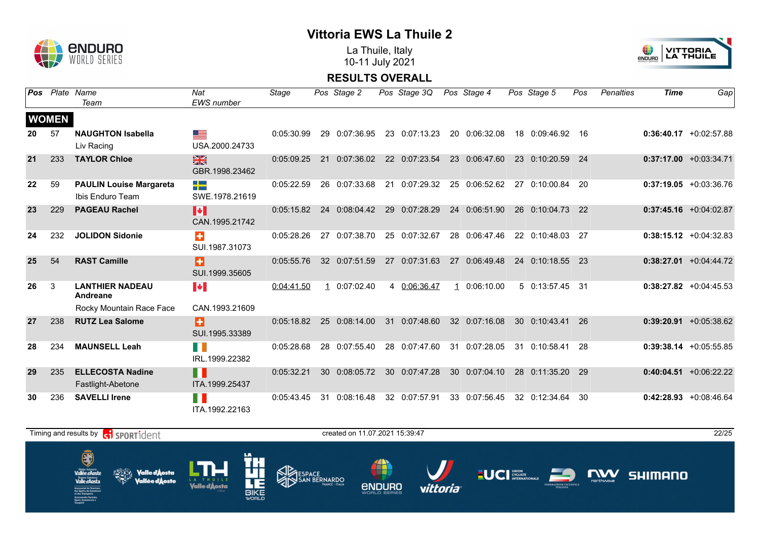

La Thuile, Italy 10-11 July 2021



| Pos |              | Plate Name                                         | Nat                           | Stage      |    | Pos Stage 2   | Pos Stage 3Q  | Pos Stage 4   |    | Pos Stage 5      | Pos | <b>Penalties</b> | <b>Time</b> | Gap                       |
|-----|--------------|----------------------------------------------------|-------------------------------|------------|----|---------------|---------------|---------------|----|------------------|-----|------------------|-------------|---------------------------|
|     |              | Team                                               | <b>EWS</b> number             |            |    |               |               |               |    |                  |     |                  |             |                           |
|     | <b>WOMEN</b> |                                                    |                               |            |    |               |               |               |    |                  |     |                  |             |                           |
| 20  | 57           | <b>NAUGHTON Isabella</b><br>Liv Racing             | ga k<br>USA.2000.24733        | 0:05:30.99 |    | 29 0:07:36.95 | 23 0:07:13.23 | 20 0:06:32.08 |    | 18 0:09:46.92    | -16 |                  |             | $0:36:40.17$ +0:02:57.88  |
| 21  | 233          | <b>TAYLOR Chloe</b>                                | $rac{N}{2}$<br>GBR.1998.23462 | 0:05:09.25 |    | 21 0:07:36.02 | 22 0:07:23.54 | 23 0:06:47.60 |    | 23 0:10:20.59 24 |     |                  |             | $0:37:17.00 + 0:03:34.71$ |
| 22  | 59           | <b>PAULIN Louise Margareta</b><br>Ibis Enduro Team | 51-<br>SWE.1978.21619         | 0:05:22.59 |    | 26 0:07:33.68 | 21 0:07:29.32 | 25 0:06:52.62 |    | 27 0:10:00.84 20 |     |                  |             | $0:37:19.05 +0:03:36.76$  |
| 23  | 229          | <b>PAGEAU Rachel</b>                               | H<br>CAN.1995.21742           | 0:05:15.82 |    | 24 0:08:04.42 | 29 0:07:28.29 | 24 0:06:51.90 |    | 26 0:10:04.73 22 |     |                  |             | $0:37:45.16$ +0:04:02.87  |
| 24  | 232          | <b>JOLIDON Sidonie</b>                             | ÷<br>SUI.1987.31073           | 0:05:28.26 | 27 | 0:07:38.70    | 25 0:07:32.67 | 28 0:06:47.46 |    | 22 0:10:48.03 27 |     |                  |             | $0:38:15.12 + 0:04:32.83$ |
| 25  | 54           | <b>RAST Camille</b>                                | Ð<br>SUI.1999.35605           | 0:05:55.76 |    | 32 0:07:51.59 | 27 0:07:31.63 | 27 0:06:49.48 |    | 24 0:10:18.55 23 |     |                  |             | $0:38:27.01 + 0:04:44.72$ |
| 26  | 3            | <b>LANTHIER NADEAU</b><br>Andreane                 | <b>A</b>                      | 0:04:41.50 |    | 1 0:07:02.40  | 4 0:06:36.47  | 10:06:10.00   |    | 5 0:13:57.45 31  |     |                  |             | $0:38:27.82 +0:04:45.53$  |
|     |              | Rocky Mountain Race Face                           | CAN.1993.21609                |            |    |               |               |               |    |                  |     |                  |             |                           |
| 27  | 238          | <b>RUTZ Lea Salome</b>                             | Ð<br>SUI.1995.33389           | 0:05:18.82 |    | 25 0:08:14.00 | 31 0:07:48.60 | 32 0:07:16.08 |    | 30 0:10:43.41    | -26 |                  |             | $0:39:20.91$ +0:05:38.62  |
| 28  | 234          | <b>MAUNSELL Leah</b>                               | H I<br>IRL.1999.22382         | 0:05:28.68 |    | 28 0:07:55.40 | 28 0:07:47.60 | 31 0:07:28.05 |    | 31 0:10:58.41    | -28 |                  |             | $0:39:38.14$ +0:05:55.85  |
| 29  | 235          | <b>ELLECOSTA Nadine</b><br>Fastlight-Abetone       | H<br>ITA.1999.25437           | 0:05:32.21 |    | 30 0:08:05.72 | 30 0:07:47.28 | 30 0:07:04.10 | 28 | 0:11:35.20       | -29 |                  |             | $0:40:04.51$ +0:06:22.22  |
| 30  | 236          | <b>SAVELLI Irene</b>                               | H<br>ITA.1992.22163           | 0:05:43.45 | 31 | 0:08:16.48    | 32 0:07:57.91 | 33 0:07:56.45 |    | 32 0:12:34.64    | 30  |                  |             | $0:42:28.93 + 0:08:46.64$ |

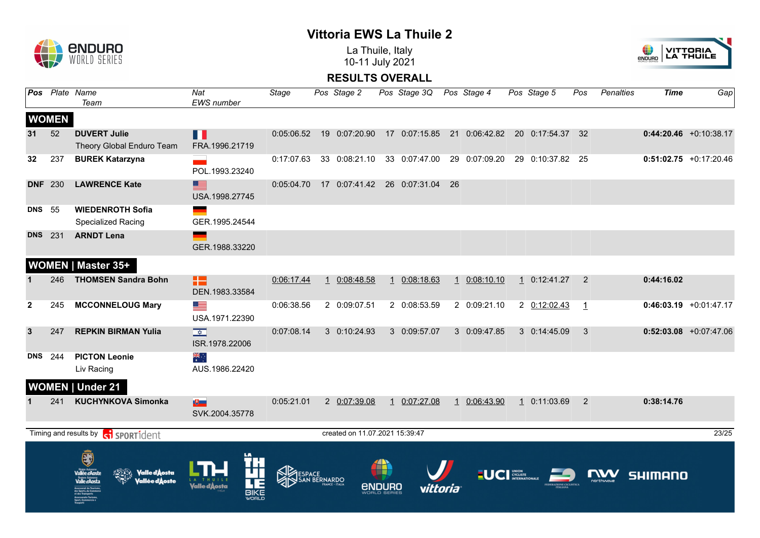

La Thuile, Italy 10-11 July 2021



| Pos Plate Name<br>Team                                             | Nat<br>EWS number                         | <b>Stage</b> |             | Pos Stage 2                    |                        | Pos Stage 3Q Pos Stage 4       |                             |                                                                       |          | Pos Stage 5      | Pos                  | <b>Penalties</b> | <b>Time</b>                  | Gap                      |
|--------------------------------------------------------------------|-------------------------------------------|--------------|-------------|--------------------------------|------------------------|--------------------------------|-----------------------------|-----------------------------------------------------------------------|----------|------------------|----------------------|------------------|------------------------------|--------------------------|
|                                                                    |                                           |              |             |                                |                        |                                |                             |                                                                       |          |                  |                      |                  |                              |                          |
| <b>DUVERT Julie</b><br>Theory Global Enduro Team                   | П<br>FRA.1996.21719                       |              |             |                                |                        |                                |                             | 0:05:06.52 19 0:07:20.90 17 0:07:15.85 21 0:06:42.82 20 0:17:54.37 32 |          |                  |                      |                  |                              | $0:44:20.46$ +0:10:38.17 |
| <b>BUREK Katarzyna</b>                                             | POL.1993.23240                            | 0:17:07.63   |             | 33 0:08:21.10                  |                        | 33 0:07:47.00                  |                             | 29 0:07:09.20                                                         |          | 29 0:10:37.82 25 |                      |                  |                              | $0:51:02.75$ +0:17:20.46 |
| <b>LAWRENCE Kate</b>                                               | ▆▆<br>USA.1998.27745                      | 0:05:04.70   |             |                                |                        | 17 0:07:41.42 26 0:07:31.04 26 |                             |                                                                       |          |                  |                      |                  |                              |                          |
| <b>WIEDENROTH Sofia</b><br><b>Specialized Racing</b>               | GER.1995.24544                            |              |             |                                |                        |                                |                             |                                                                       |          |                  |                      |                  |                              |                          |
| <b>ARNDT Lena</b>                                                  | GER.1988.33220                            |              |             |                                |                        |                                |                             |                                                                       |          |                  |                      |                  |                              |                          |
| <b>WOMEN   Master 35+</b>                                          |                                           |              |             |                                |                        |                                |                             |                                                                       |          |                  |                      |                  |                              |                          |
| <b>THOMSEN Sandra Bohn</b>                                         | 12<br>DEN.1983.33584                      | 0:06:17.44   |             | 1 0:08:48.58                   |                        | 1 0:08:18.63                   |                             | 1 0:08:10.10                                                          |          | $1$ 0:12:41.27   | $\overline{2}$       |                  | 0:44:16.02                   |                          |
| <b>MCCONNELOUG Mary</b>                                            | <u>se</u><br>USA.1971.22390               | 0:06:38.56   |             | 2 0:09:07.51                   |                        | 2 0:08:53.59                   |                             | 2 0:09:21.10                                                          |          | 2 0:12:02.43     | $\mathbf{1}$         |                  |                              | $0:46:03.19$ +0:01:47.17 |
| <b>REPKIN BIRMAN Yulia</b>                                         | $\overline{\mathbf{R}}$<br>ISR.1978.22006 | 0:07:08.14   |             | 3 0:10:24.93                   |                        | 3 0:09:57.07                   |                             | 3 0:09:47.85                                                          |          | 3 0:14:45.09     | 3                    |                  |                              | $0:52:03.08$ +0:07:47.06 |
| <b>PICTON Leonie</b><br>Liv Racing                                 | $\frac{2}{\pi}$<br>AUS.1986.22420         |              |             |                                |                        |                                |                             |                                                                       |          |                  |                      |                  |                              |                          |
| <b>WOMEN   Under 21</b>                                            |                                           |              |             |                                |                        |                                |                             |                                                                       |          |                  |                      |                  |                              |                          |
| <b>KUCHYNKOVA Simonka</b>                                          | $\mathbf{E}$<br>SVK.2004.35778            | 0:05:21.01   |             | 2 0:07:39.08                   |                        | 1 0:07:27.08                   |                             | 1 0:06:43.90                                                          |          | 1 0:11:03.69 2   |                      |                  | 0:38:14.76                   |                          |
| Timing and results by <b>contains and results</b>                  |                                           |              |             | created on 11.07.2021 15:39:47 |                        |                                |                             |                                                                       |          |                  |                      |                  |                              | 23/25                    |
| Õ<br>allée d'Aost<br><b>Valle d</b> Aosta<br><b>∕allée d'∆oste</b> |                                           |              |             |                                |                        |                                |                             |                                                                       |          |                  |                      |                  |                              |                          |
|                                                                    |                                           |              | <b>BIKE</b> |                                | ESPACE<br>SAN BERNARDO | 4                              | <b><i><u>ENDURO</u></i></b> |                                                                       | vittoria |                  | <b>LUCI</b> CYCLISTE |                  | $\sum_{\text{nor throwave}}$ | <b>SHIMANO</b>           |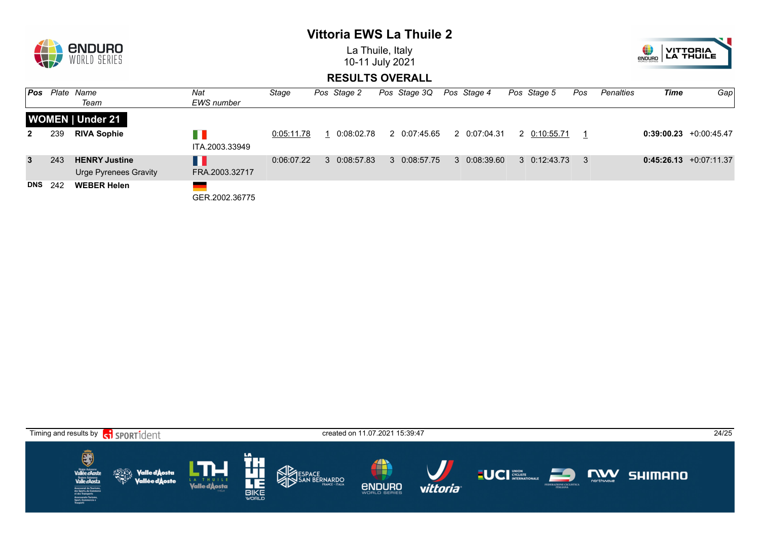

La Thuile, Italy 10-11 July 2021



| l Pos        |     | Plate Name                                           | Nat                   | Stage      | Pos Stage 2 | Pos Stage 3Q | Pos Stage 4  | Pos Stage 5          | Pos | Penalties | Time | Gap                       |
|--------------|-----|------------------------------------------------------|-----------------------|------------|-------------|--------------|--------------|----------------------|-----|-----------|------|---------------------------|
|              |     | Team                                                 | EWS number            |            |             |              |              |                      |     |           |      |                           |
|              |     | <b>WOMEN   Under 21</b>                              |                       |            |             |              |              |                      |     |           |      |                           |
| $\mathbf{2}$ | 239 | <b>RIVA Sophie</b>                                   | n n<br>ITA.2003.33949 | 0:05:11.78 | 0:08:02.78  | 2 0:07:45.65 | 2 0:07:04.31 | 2 0:10:55.71         |     |           |      | $0:39:00.23 +0:00:45.47$  |
| $\mathbf{3}$ | 243 | <b>HENRY Justine</b><br><b>Urge Pyrenees Gravity</b> | H I<br>FRA.2003.32717 | 0:06:07.22 | 30:08:57.83 | 3 0:08:57.75 | 3 0:08:39.60 | $3 \quad 0:12:43.73$ |     |           |      | $0:45:26.13 + 0:07:11.37$ |
| <b>DNS</b>   | 242 | <b>WEBER Helen</b>                                   | GER.2002.36775        |            |             |              |              |                      |     |           |      |                           |